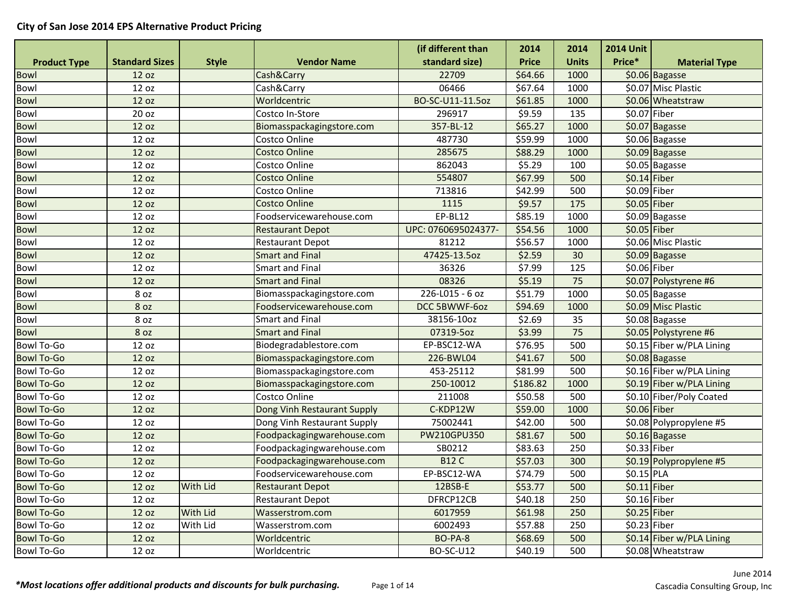|                     |                       |                 |                             | (if different than  | 2014         | 2014            | <b>2014 Unit</b> |                           |
|---------------------|-----------------------|-----------------|-----------------------------|---------------------|--------------|-----------------|------------------|---------------------------|
| <b>Product Type</b> | <b>Standard Sizes</b> | <b>Style</b>    | <b>Vendor Name</b>          | standard size)      | <b>Price</b> | <b>Units</b>    | Price*           | <b>Material Type</b>      |
| <b>Bowl</b>         | 12 oz                 |                 | Cash&Carry                  | 22709               | \$64.66      | 1000            |                  | \$0.06 Bagasse            |
| Bowl                | 12 oz                 |                 | Cash&Carry                  | 06466               | \$67.64      | 1000            |                  | \$0.07 Misc Plastic       |
| Bowl                | 12 oz                 |                 | Worldcentric                | BO-SC-U11-11.5oz    | \$61.85      | 1000            |                  | \$0.06 Wheatstraw         |
| Bowl                | 20 oz                 |                 | Costco In-Store             | 296917              | \$9.59       | 135             | $$0.07$ Fiber    |                           |
| Bowl                | 12 oz                 |                 | Biomasspackagingstore.com   | 357-BL-12           | \$65.27      | 1000            |                  | \$0.07 Bagasse            |
| Bowl                | 12 oz                 |                 | Costco Online               | 487730              | \$59.99      | 1000            |                  | \$0.06 Bagasse            |
| Bowl                | 12 oz                 |                 | <b>Costco Online</b>        | 285675              | \$88.29      | 1000            |                  | \$0.09 Bagasse            |
| Bowl                | 12 oz                 |                 | Costco Online               | 862043              | \$5.29       | 100             |                  | \$0.05 Bagasse            |
| <b>Bowl</b>         | 12 oz                 |                 | <b>Costco Online</b>        | 554807              | \$67.99      | 500             | $$0.14$ Fiber    |                           |
| Bowl                | 12 oz                 |                 | Costco Online               | 713816              | \$42.99      | 500             | \$0.09 Fiber     |                           |
| Bowl                | 12 oz                 |                 | <b>Costco Online</b>        | 1115                | \$9.57       | 175             | $$0.05$ Fiber    |                           |
| Bowl                | 12 oz                 |                 | Foodservicewarehouse.com    | EP-BL12             | \$85.19      | 1000            |                  | \$0.09 Bagasse            |
| Bowl                | 12 oz                 |                 | <b>Restaurant Depot</b>     | UPC: 0760695024377- | \$54.56      | 1000            | $$0.05$ Fiber    |                           |
| Bowl                | 12 oz                 |                 | <b>Restaurant Depot</b>     | 81212               | \$56.57      | 1000            |                  | \$0.06 Misc Plastic       |
| Bowl                | 12 oz                 |                 | <b>Smart and Final</b>      | 47425-13.5oz        | \$2.59       | 30              |                  | \$0.09 Bagasse            |
| Bowl                | 12 oz                 |                 | <b>Smart and Final</b>      | 36326               | \$7.99       | 125             | \$0.06 Fiber     |                           |
| Bowl                | 12 oz                 |                 | <b>Smart and Final</b>      | 08326               | \$5.19       | 75              |                  | \$0.07 Polystyrene #6     |
| Bowl                | 8 oz                  |                 | Biomasspackagingstore.com   | 226-L015 - 6 oz     | \$51.79      | 1000            |                  | \$0.05 Bagasse            |
| <b>Bowl</b>         | 8 oz                  |                 | Foodservicewarehouse.com    | DCC 5BWWF-6oz       | \$94.69      | 1000            |                  | \$0.09 Misc Plastic       |
| Bowl                | 8 oz                  |                 | <b>Smart and Final</b>      | 38156-10oz          | \$2.69       | 35              |                  | \$0.08 Bagasse            |
| <b>Bowl</b>         | 8 oz                  |                 | <b>Smart and Final</b>      | 07319-5oz           | \$3.99       | $\overline{75}$ |                  | \$0.05 Polystyrene #6     |
| <b>Bowl To-Go</b>   | 12 oz                 |                 | Biodegradablestore.com      | EP-BSC12-WA         | \$76.95      | 500             |                  | \$0.15 Fiber w/PLA Lining |
| <b>Bowl To-Go</b>   | 12 oz                 |                 | Biomasspackagingstore.com   | 226-BWL04           | \$41.67      | 500             |                  | \$0.08 Bagasse            |
| <b>Bowl To-Go</b>   | 12 oz                 |                 | Biomasspackagingstore.com   | 453-25112           | \$81.99      | 500             |                  | \$0.16 Fiber w/PLA Lining |
| <b>Bowl To-Go</b>   | 12 oz                 |                 | Biomasspackagingstore.com   | 250-10012           | \$186.82     | 1000            |                  | \$0.19 Fiber w/PLA Lining |
| <b>Bowl To-Go</b>   | 12 oz                 |                 | Costco Online               | 211008              | \$50.58      | 500             |                  | \$0.10 Fiber/Poly Coated  |
| <b>Bowl To-Go</b>   | 12 oz                 |                 | Dong Vinh Restaurant Supply | C-KDP12W            | \$59.00      | 1000            | $$0.06$ Fiber    |                           |
| <b>Bowl To-Go</b>   | 12 oz                 |                 | Dong Vinh Restaurant Supply | 75002441            | \$42.00      | 500             |                  | \$0.08 Polypropylene #5   |
| <b>Bowl To-Go</b>   | 12 oz                 |                 | Foodpackagingwarehouse.com  | PW210GPU350         | \$81.67      | 500             |                  | \$0.16 Bagasse            |
| <b>Bowl To-Go</b>   | 12 oz                 |                 | Foodpackagingwarehouse.com  | SB0212              | \$83.63      | 250             | \$0.33 Fiber     |                           |
| <b>Bowl To-Go</b>   | 12 oz                 |                 | Foodpackagingwarehouse.com  | <b>B12 C</b>        | \$57.03      | 300             |                  | \$0.19 Polypropylene #5   |
| <b>Bowl To-Go</b>   | 12 oz                 |                 | Foodservicewarehouse.com    | EP-BSC12-WA         | \$74.79      | 500             | \$0.15 PLA       |                           |
| <b>Bowl To-Go</b>   | 12 oz                 | <b>With Lid</b> | <b>Restaurant Depot</b>     | 12BSB-E             | \$53.77      | 500             | $$0.11$ Fiber    |                           |
| <b>Bowl To-Go</b>   | 12 oz                 |                 | <b>Restaurant Depot</b>     | DFRCP12CB           | \$40.18      | 250             | \$0.16 Fiber     |                           |
| <b>Bowl To-Go</b>   | 12 oz                 | With Lid        | Wasserstrom.com             | 6017959             | \$61.98      | 250             | $$0.25$ Fiber    |                           |
| <b>Bowl To-Go</b>   | 12 oz                 | With Lid        | Wasserstrom.com             | 6002493             | \$57.88      | 250             | $$0.23$ Fiber    |                           |
| <b>Bowl To-Go</b>   | 12 oz                 |                 | Worldcentric                | BO-PA-8             | \$68.69      | 500             |                  | \$0.14 Fiber w/PLA Lining |
| <b>Bowl To-Go</b>   | 12 oz                 |                 | Worldcentric                | <b>BO-SC-U12</b>    | \$40.19      | 500             |                  | \$0.08 Wheatstraw         |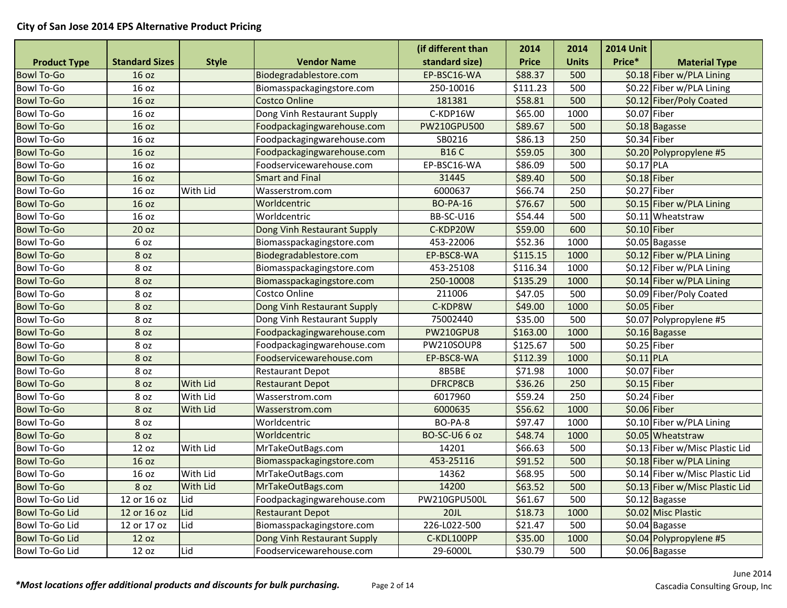|                       |                       |                 |                             | (if different than   | 2014         | 2014         | <b>2014 Unit</b> |                                 |
|-----------------------|-----------------------|-----------------|-----------------------------|----------------------|--------------|--------------|------------------|---------------------------------|
| <b>Product Type</b>   | <b>Standard Sizes</b> | <b>Style</b>    | <b>Vendor Name</b>          | standard size)       | <b>Price</b> | <b>Units</b> | Price*           | <b>Material Type</b>            |
| <b>Bowl To-Go</b>     | 16 oz                 |                 | Biodegradablestore.com      | EP-BSC16-WA          | \$88.37      | 500          |                  | \$0.18 Fiber w/PLA Lining       |
| <b>Bowl To-Go</b>     | 16 oz                 |                 | Biomasspackagingstore.com   | 250-10016            | \$111.23     | 500          |                  | \$0.22 Fiber w/PLA Lining       |
| <b>Bowl To-Go</b>     | 16 oz                 |                 | <b>Costco Online</b>        | 181381               | \$58.81      | 500          |                  | \$0.12 Fiber/Poly Coated        |
| <b>Bowl To-Go</b>     | 16 oz                 |                 | Dong Vinh Restaurant Supply | C-KDP16W             | \$65.00      | 1000         | $$0.07$ Fiber    |                                 |
| <b>Bowl To-Go</b>     | 16 oz                 |                 | Foodpackagingwarehouse.com  | PW210GPU500          | \$89.67      | 500          |                  | \$0.18 Bagasse                  |
| <b>Bowl To-Go</b>     | 16 oz                 |                 | Foodpackagingwarehouse.com  | SB0216               | \$86.13      | 250          | $$0.34$ Fiber    |                                 |
| <b>Bowl To-Go</b>     | 16 oz                 |                 | Foodpackagingwarehouse.com  | <b>B16 C</b>         | \$59.05      | 300          |                  | \$0.20 Polypropylene #5         |
| <b>Bowl To-Go</b>     | 16 oz                 |                 | Foodservicewarehouse.com    | EP-BSC16-WA          | \$86.09      | 500          | \$0.17 PLA       |                                 |
| <b>Bowl To-Go</b>     | 16 oz                 |                 | <b>Smart and Final</b>      | 31445                | \$89.40      | 500          | $$0.18$ Fiber    |                                 |
| <b>Bowl To-Go</b>     | 16 oz                 | With Lid        | Wasserstrom.com             | 6000637              | \$66.74      | 250          | $$0.27$ Fiber    |                                 |
| <b>Bowl To-Go</b>     | 16 oz                 |                 | Worldcentric                | <b>BO-PA-16</b>      | \$76.67      | 500          |                  | \$0.15 Fiber w/PLA Lining       |
| <b>Bowl To-Go</b>     | 16 oz                 |                 | Worldcentric                | BB-SC-U16            | \$54.44      | 500          |                  | \$0.11 Wheatstraw               |
| <b>Bowl To-Go</b>     | 20 <sub>oz</sub>      |                 | Dong Vinh Restaurant Supply | C-KDP20W             | \$59.00      | 600          | $$0.10$ Fiber    |                                 |
| <b>Bowl To-Go</b>     | 6 oz                  |                 | Biomasspackagingstore.com   | 453-22006            | \$52.36      | 1000         |                  | \$0.05 Bagasse                  |
| <b>Bowl To-Go</b>     | 8 oz                  |                 | Biodegradablestore.com      | EP-BSC8-WA           | \$115.15     | 1000         |                  | \$0.12 Fiber w/PLA Lining       |
| <b>Bowl To-Go</b>     | 8 oz                  |                 | Biomasspackagingstore.com   | 453-25108            | \$116.34     | 1000         |                  | \$0.12 Fiber w/PLA Lining       |
| <b>Bowl To-Go</b>     | 8 oz                  |                 | Biomasspackagingstore.com   | 250-10008            | \$135.29     | 1000         |                  | \$0.14 Fiber w/PLA Lining       |
| <b>Bowl To-Go</b>     | 8 oz                  |                 | Costco Online               | 211006               | \$47.05      | 500          |                  | \$0.09 Fiber/Poly Coated        |
| <b>Bowl To-Go</b>     | 8 oz                  |                 | Dong Vinh Restaurant Supply | C-KDP8W              | \$49.00      | 1000         | $$0.05$ Fiber    |                                 |
| <b>Bowl To-Go</b>     | 8 oz                  |                 | Dong Vinh Restaurant Supply | 75002440             | \$35.00      | 500          |                  | \$0.07 Polypropylene #5         |
| <b>Bowl To-Go</b>     | 8 oz                  |                 | Foodpackagingwarehouse.com  | <b>PW210GPU8</b>     | \$163.00     | 1000         |                  | \$0.16 Bagasse                  |
| <b>Bowl To-Go</b>     | 8 oz                  |                 | Foodpackagingwarehouse.com  | PW210SOUP8           | \$125.67     | 500          | \$0.25 Fiber     |                                 |
| <b>Bowl To-Go</b>     | 8 oz                  |                 | Foodservicewarehouse.com    | EP-BSC8-WA           | \$112.39     | 1000         | $$0.11$ PLA      |                                 |
| <b>Bowl To-Go</b>     | 8 oz                  |                 | <b>Restaurant Depot</b>     | 8B5BE                | \$71.98      | 1000         | \$0.07 Fiber     |                                 |
| <b>Bowl To-Go</b>     | 8 oz                  | <b>With Lid</b> | <b>Restaurant Depot</b>     | DFRCP8CB             | \$36.26      | 250          | $$0.15$ Fiber    |                                 |
| <b>Bowl To-Go</b>     | 8 oz                  | With Lid        | Wasserstrom.com             | 6017960              | \$59.24      | 250          | $$0.24$ Fiber    |                                 |
| <b>Bowl To-Go</b>     | 8 oz                  | <b>With Lid</b> | Wasserstrom.com             | 6000635              | \$56.62      | 1000         | \$0.06 Fiber     |                                 |
| <b>Bowl To-Go</b>     | 8 oz                  |                 | Worldcentric                | BO-PA-8              | \$97.47      | 1000         |                  | \$0.10 Fiber w/PLA Lining       |
| <b>Bowl To-Go</b>     | 8 oz                  |                 | Worldcentric                | <b>BO-SC-U6 6 oz</b> | \$48.74      | 1000         |                  | \$0.05 Wheatstraw               |
| <b>Bowl To-Go</b>     | 12 oz                 | With Lid        | MrTakeOutBags.com           | 14201                | \$66.63      | 500          |                  | \$0.13 Fiber w/Misc Plastic Lid |
| <b>Bowl To-Go</b>     | 16 oz                 |                 | Biomasspackagingstore.com   | 453-25116            | \$91.52      | 500          |                  | \$0.18 Fiber w/PLA Lining       |
| <b>Bowl To-Go</b>     | 16 oz                 | With Lid        | MrTakeOutBags.com           | 14362                | \$68.95      | 500          |                  | \$0.14 Fiber w/Misc Plastic Lid |
| <b>Bowl To-Go</b>     | 8 OZ                  | With Lid        | MrTakeOutBags.com           | 14200                | \$63.52      | 500          |                  | \$0.13 Fiber w/Misc Plastic Lid |
| Bowl To-Go Lid        | 12 or 16 oz           | Lid             | Foodpackagingwarehouse.com  | PW210GPU500L         | \$61.67      | 500          |                  | \$0.12 Bagasse                  |
| <b>Bowl To-Go Lid</b> | 12 or 16 oz           | Lid             | <b>Restaurant Depot</b>     | 20JL                 | \$18.73      | 1000         |                  | \$0.02 Misc Plastic             |
| Bowl To-Go Lid        | 12 or 17 oz           | Lid             | Biomasspackagingstore.com   | 226-L022-500         | \$21.47      | 500          |                  | \$0.04 Bagasse                  |
| <b>Bowl To-Go Lid</b> | 12 oz                 |                 | Dong Vinh Restaurant Supply | C-KDL100PP           | \$35.00      | 1000         |                  | \$0.04 Polypropylene #5         |
| Bowl To-Go Lid        | 12 oz                 | Lid             | Foodservicewarehouse.com    | 29-6000L             | \$30.79      | 500          |                  | \$0.06 Bagasse                  |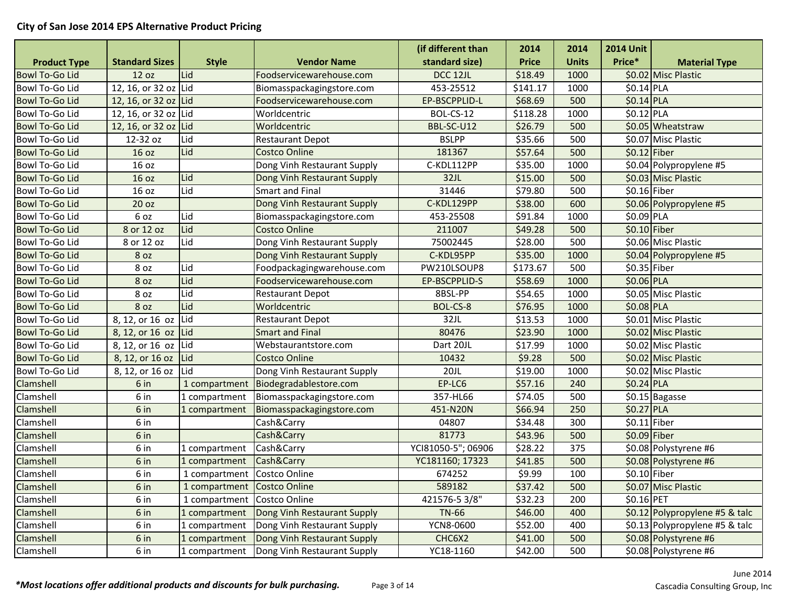|                       |                       |                             |                             | (if different than | 2014         | 2014         | <b>2014 Unit</b> |                                |
|-----------------------|-----------------------|-----------------------------|-----------------------------|--------------------|--------------|--------------|------------------|--------------------------------|
| <b>Product Type</b>   | <b>Standard Sizes</b> | <b>Style</b>                | <b>Vendor Name</b>          | standard size)     | <b>Price</b> | <b>Units</b> | Price*           | <b>Material Type</b>           |
| <b>Bowl To-Go Lid</b> | 12 oz                 | Lid                         | Foodservicewarehouse.com    | DCC 12JL           | \$18.49      | 1000         |                  | \$0.02 Misc Plastic            |
| Bowl To-Go Lid        | 12, 16, or 32 oz Lid  |                             | Biomasspackagingstore.com   | 453-25512          | \$141.17     | 1000         | \$0.14 PLA       |                                |
| <b>Bowl To-Go Lid</b> | 12, 16, or 32 oz Lid  |                             | Foodservicewarehouse.com    | EP-BSCPPLID-L      | \$68.69      | 500          | $$0.14$ PLA      |                                |
| Bowl To-Go Lid        | 12, 16, or 32 oz Lid  |                             | Worldcentric                | BOL-CS-12          | \$118.28     | 1000         | \$0.12 PLA       |                                |
| <b>Bowl To-Go Lid</b> | 12, 16, or 32 oz Lid  |                             | Worldcentric                | BBL-SC-U12         | \$26.79      | 500          |                  | \$0.05 Wheatstraw              |
| Bowl To-Go Lid        | 12-32 oz              | Lid                         | <b>Restaurant Depot</b>     | <b>BSLPP</b>       | \$35.66      | 500          |                  | \$0.07 Misc Plastic            |
| <b>Bowl To-Go Lid</b> | 16 oz                 | Lid                         | <b>Costco Online</b>        | 181367             | \$57.64      | 500          | $$0.12$ Fiber    |                                |
| Bowl To-Go Lid        | 16 oz                 |                             | Dong Vinh Restaurant Supply | C-KDL112PP         | \$35.00      | 1000         |                  | \$0.04 Polypropylene #5        |
| <b>Bowl To-Go Lid</b> | 16 oz                 | Lid                         | Dong Vinh Restaurant Supply | 32JL               | \$15.00      | 500          |                  | \$0.03 Misc Plastic            |
| Bowl To-Go Lid        | 16 oz                 | Lid                         | <b>Smart and Final</b>      | 31446              | \$79.80      | 500          | \$0.16 Fiber     |                                |
| <b>Bowl To-Go Lid</b> | 20 oz                 |                             | Dong Vinh Restaurant Supply | C-KDL129PP         | \$38.00      | 600          |                  | \$0.06 Polypropylene #5        |
| Bowl To-Go Lid        | 6 oz                  | Lid                         | Biomasspackagingstore.com   | 453-25508          | \$91.84      | 1000         | $$0.09$ PLA      |                                |
| <b>Bowl To-Go Lid</b> | 8 or 12 oz            | Lid                         | <b>Costco Online</b>        | 211007             | \$49.28      | 500          | $$0.10$ Fiber    |                                |
| Bowl To-Go Lid        | 8 or 12 oz            | Lid                         | Dong Vinh Restaurant Supply | 75002445           | \$28.00      | 500          |                  | S0.06 Misc Plastic             |
| <b>Bowl To-Go Lid</b> | 8 oz                  |                             | Dong Vinh Restaurant Supply | C-KDL95PP          | \$35.00      | 1000         |                  | \$0.04 Polypropylene #5        |
| Bowl To-Go Lid        | 8 oz                  | Lid                         | Foodpackagingwarehouse.com  | PW210LSOUP8        | \$173.67     | 500          | \$0.35 Fiber     |                                |
| <b>Bowl To-Go Lid</b> | 8 oz                  | Lid                         | Foodservicewarehouse.com    | EP-BSCPPLID-S      | \$58.69      | 1000         | \$0.06 PLA       |                                |
| Bowl To-Go Lid        | 8 oz                  | Lid                         | <b>Restaurant Depot</b>     | 8BSL-PP            | \$54.65      | 1000         |                  | \$0.05 Misc Plastic            |
| <b>Bowl To-Go Lid</b> | 8 oz                  | Lid                         | Worldcentric                | BOL-CS-8           | \$76.95      | 1000         | \$0.08 PLA       |                                |
| Bowl To-Go Lid        | 8, 12, or 16 oz       | Lid                         | <b>Restaurant Depot</b>     | 32JL               | \$13.53      | 1000         |                  | \$0.01 Misc Plastic            |
| <b>Bowl To-Go Lid</b> | 8, 12, or 16 oz Lid   |                             | <b>Smart and Final</b>      | 80476              | \$23.90      | 1000         |                  | \$0.02 Misc Plastic            |
| Bowl To-Go Lid        | 8, 12, or 16 oz Lid   |                             | Webstaurantstore.com        | Dart 20JL          | \$17.99      | 1000         |                  | \$0.02 Misc Plastic            |
| <b>Bowl To-Go Lid</b> | 8, 12, or 16 oz       | Lid                         | <b>Costco Online</b>        | 10432              | \$9.28       | 500          |                  | \$0.02 Misc Plastic            |
| Bowl To-Go Lid        | 8, 12, or 16 oz       | Lid                         | Dong Vinh Restaurant Supply | 20JL               | \$19.00      | 1000         |                  | \$0.02 Misc Plastic            |
| Clamshell             | 6 in                  | 1 compartment               | Biodegradablestore.com      | EP-LC6             | \$57.16      | 240          | \$0.24 PLA       |                                |
| Clamshell             | 6 in                  | 1 compartment               | Biomasspackagingstore.com   | 357-HL66           | \$74.05      | 500          |                  | \$0.15 Bagasse                 |
| Clamshell             | 6 in                  | 1 compartment               | Biomasspackagingstore.com   | 451-N20N           | \$66.94      | 250          | $$0.27$ PLA      |                                |
| Clamshell             | 6 in                  |                             | Cash&Carry                  | 04807              | \$34.48      | 300          | $$0.11$ Fiber    |                                |
| Clamshell             | 6 in                  |                             | Cash&Carry                  | 81773              | \$43.96      | 500          | $$0.09$ Fiber    |                                |
| Clamshell             | 6 in                  | 1 compartment               | Cash&Carry                  | YCI81050-5"; 06906 | \$28.22      | 375          |                  | \$0.08 Polystyrene #6          |
| Clamshell             | 6 in                  | 1 compartment               | Cash&Carry                  | YC181160; 17323    | \$41.85      | 500          |                  | \$0.08 Polystyrene #6          |
| Clamshell             | 6 in                  | 1 compartment Costco Online |                             | 674252             | \$9.99       | 100          | \$0.10 Fiber     |                                |
| Clamshell             | 6 in                  | 1 compartment Costco Online |                             | 589182             | \$37.42      | 500          |                  | \$0.07 Misc Plastic            |
| Clamshell             | 6 in                  | 1 compartment               | Costco Online               | 421576-5 3/8"      | \$32.23      | 200          | \$0.16 PET       |                                |
| Clamshell             | 6 in                  | 1 compartment               | Dong Vinh Restaurant Supply | <b>TN-66</b>       | \$46.00      | 400          |                  | \$0.12 Polypropylene #5 & talc |
| Clamshell             | 6 in                  | 1 compartment               | Dong Vinh Restaurant Supply | YCN8-0600          | \$52.00      | 400          |                  | \$0.13 Polypropylene #5 & talc |
| Clamshell             | 6 in                  | 1 compartment               | Dong Vinh Restaurant Supply | CHC6X2             | \$41.00      | 500          |                  | \$0.08 Polystyrene #6          |
| Clamshell             | 6 in                  | 1 compartment               | Dong Vinh Restaurant Supply | YC18-1160          | \$42.00      | 500          |                  | \$0.08 Polystyrene #6          |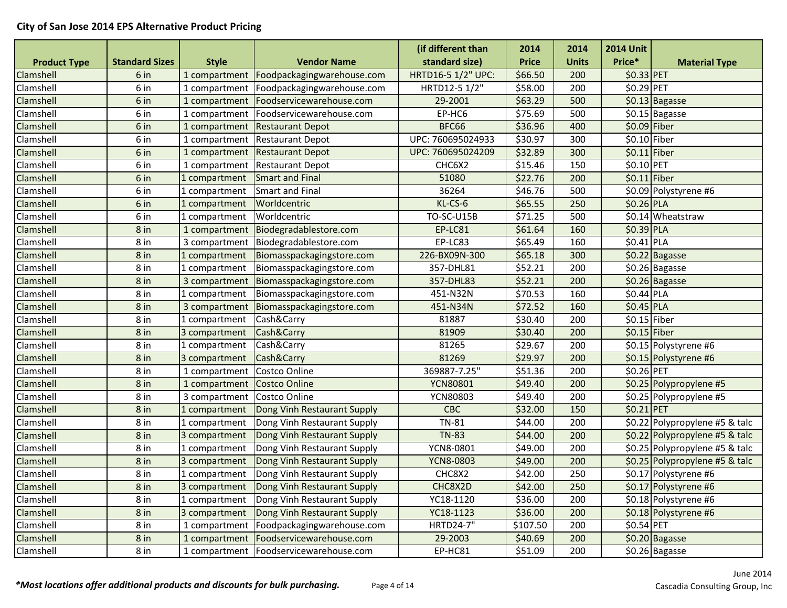|                     |                       |               |                                            | (if different than | 2014         | 2014         | <b>2014 Unit</b> |                                |
|---------------------|-----------------------|---------------|--------------------------------------------|--------------------|--------------|--------------|------------------|--------------------------------|
| <b>Product Type</b> | <b>Standard Sizes</b> | <b>Style</b>  | <b>Vendor Name</b>                         | standard size)     | <b>Price</b> | <b>Units</b> | Price*           | <b>Material Type</b>           |
| Clamshell           | 6 in                  |               | 1 compartment   Foodpackagingwarehouse.com | HRTD16-5 1/2" UPC: | \$66.50      | 200          | \$0.33 PET       |                                |
| Clamshell           | 6 in                  | 1 compartment | Foodpackagingwarehouse.com                 | HRTD12-5 1/2"      | \$58.00      | 200          | \$0.29 PET       |                                |
| Clamshell           | 6 in                  | 1 compartment | Foodservicewarehouse.com                   | 29-2001            | \$63.29      | 500          |                  | \$0.13 Bagasse                 |
| Clamshell           | 6 in                  | 1 compartment | Foodservicewarehouse.com                   | EP-HC6             | \$75.69      | 500          |                  | \$0.15 Bagasse                 |
| Clamshell           | 6 in                  | 1 compartment | <b>Restaurant Depot</b>                    | BFC66              | \$36.96      | 400          | $$0.09$ Fiber    |                                |
| Clamshell           | 6 in                  | 1 compartment | <b>Restaurant Depot</b>                    | UPC: 760695024933  | \$30.97      | 300          | $$0.10$ Fiber    |                                |
| Clamshell           | 6 in                  | 1 compartment | <b>Restaurant Depot</b>                    | UPC: 760695024209  | \$32.89      | 300          | $$0.11$ Fiber    |                                |
| Clamshell           | 6 in                  | 1 compartment | <b>Restaurant Depot</b>                    | CHC6X2             | \$15.46      | 150          | \$0.10 PET       |                                |
| Clamshell           | 6 in                  | 1 compartment | <b>Smart and Final</b>                     | 51080              | \$22.76      | 200          | $$0.11$ Fiber    |                                |
| Clamshell           | 6 in                  | 1 compartment | Smart and Final                            | 36264              | \$46.76      | 500          |                  | \$0.09 Polystyrene #6          |
| Clamshell           | 6 in                  | 1 compartment | Worldcentric                               | KL-CS-6            | \$65.55      | 250          | $$0.26$ PLA      |                                |
| Clamshell           | 6 in                  | 1 compartment | Worldcentric                               | <b>TO-SC-U15B</b>  | \$71.25      | 500          |                  | \$0.14 Wheatstraw              |
| Clamshell           | 8 in                  | 1 compartment | Biodegradablestore.com                     | EP-LC81            | \$61.64      | 160          | \$0.39 PLA       |                                |
| Clamshell           | 8 in                  | 3 compartment | Biodegradablestore.com                     | EP-LC83            | \$65.49      | 160          | \$0.41 PLA       |                                |
| Clamshell           | 8 <sub>in</sub>       | 1 compartment | Biomasspackagingstore.com                  | 226-BX09N-300      | \$65.18      | 300          |                  | \$0.22 Bagasse                 |
| Clamshell           | 8 in                  | 1 compartment | Biomasspackagingstore.com                  | 357-DHL81          | \$52.21      | 200          |                  | $50.26$ Bagasse                |
| Clamshell           | $8$ in                | 3 compartment | Biomasspackagingstore.com                  | 357-DHL83          | \$52.21      | 200          |                  | \$0.26 Bagasse                 |
| Clamshell           | 8 in                  | 1 compartment | Biomasspackagingstore.com                  | 451-N32N           | \$70.53      | 160          | \$0.44 PLA       |                                |
| Clamshell           | 8 in                  | 3 compartment | Biomasspackagingstore.com                  | 451-N34N           | \$72.52      | 160          | $$0.45$ PLA      |                                |
| Clamshell           | 8 in                  | 1 compartment | Cash&Carry                                 | 81887              | \$30.40      | 200          | \$0.15 Fiber     |                                |
| Clamshell           | 8 <sub>in</sub>       | 3 compartment | Cash&Carry                                 | 81909              | \$30.40      | 200          | $$0.15$ Fiber    |                                |
| Clamshell           | 8 in                  | 1 compartment | Cash&Carry                                 | 81265              | \$29.67      | 200          |                  | \$0.15 Polystyrene #6          |
| Clamshell           | $8$ in                | 3 compartment | Cash&Carry                                 | 81269              | \$29.97      | 200          |                  | \$0.15 Polystyrene #6          |
| Clamshell           | 8 in                  | 1 compartment | Costco Online                              | 369887-7.25"       | \$51.36      | 200          | \$0.26 PET       |                                |
| Clamshell           | 8 in                  | 1 compartment | Costco Online                              | <b>YCN80801</b>    | \$49.40      | 200          |                  | \$0.25 Polypropylene #5        |
| Clamshell           | 8 in                  | 3 compartment | Costco Online                              | <b>YCN80803</b>    | \$49.40      | 200          |                  | \$0.25 Polypropylene #5        |
| Clamshell           | $8$ in                | 1 compartment | Dong Vinh Restaurant Supply                | CBC                | \$32.00      | 150          | \$0.21 PET       |                                |
| Clamshell           | 8 in                  | 1 compartment | Dong Vinh Restaurant Supply                | <b>TN-81</b>       | \$44.00      | 200          |                  | \$0.22 Polypropylene #5 & talc |
| Clamshell           | 8 in                  | 3 compartment | Dong Vinh Restaurant Supply                | <b>TN-83</b>       | \$44.00      | 200          |                  | \$0.22 Polypropylene #5 & talc |
| Clamshell           | 8 in                  | 1 compartment | Dong Vinh Restaurant Supply                | YCN8-0801          | \$49.00      | 200          |                  | \$0.25 Polypropylene #5 & talc |
| Clamshell           | 8 in                  | 3 compartment | Dong Vinh Restaurant Supply                | <b>YCN8-0803</b>   | \$49.00      | 200          |                  | \$0.25 Polypropylene #5 & talc |
| Clamshell           | 8 in                  | 1 compartment | Dong Vinh Restaurant Supply                | CHC8X2             | \$42.00      | 250          |                  | \$0.17 Polystyrene #6          |
| Clamshell           | 8 in                  | 3 compartment | Dong Vinh Restaurant Supply                | CHC8X2D            | \$42.00      | 250          |                  | \$0.17 Polystyrene #6          |
| Clamshell           | 8 in                  | 1 compartment | Dong Vinh Restaurant Supply                | YC18-1120          | \$36.00      | 200          |                  | \$0.18 Polystyrene #6          |
| Clamshell           | 8 <sub>in</sub>       | 3 compartment | Dong Vinh Restaurant Supply                | YC18-1123          | \$36.00      | 200          |                  | \$0.18 Polystyrene #6          |
| Clamshell           | 8 in                  | 1 compartment | Foodpackagingwarehouse.com                 | <b>HRTD24-7"</b>   | \$107.50     | 200          | \$0.54 PET       |                                |
| Clamshell           | 8 <sub>in</sub>       |               | 1 compartment   Foodservicewarehouse.com   | 29-2003            | \$40.69      | 200          |                  | \$0.20 Bagasse                 |
| Clamshell           | 8 in                  |               | 1 compartment   Foodservicewarehouse.com   | EP-HC81            | \$51.09      | 200          |                  | \$0.26 Bagasse                 |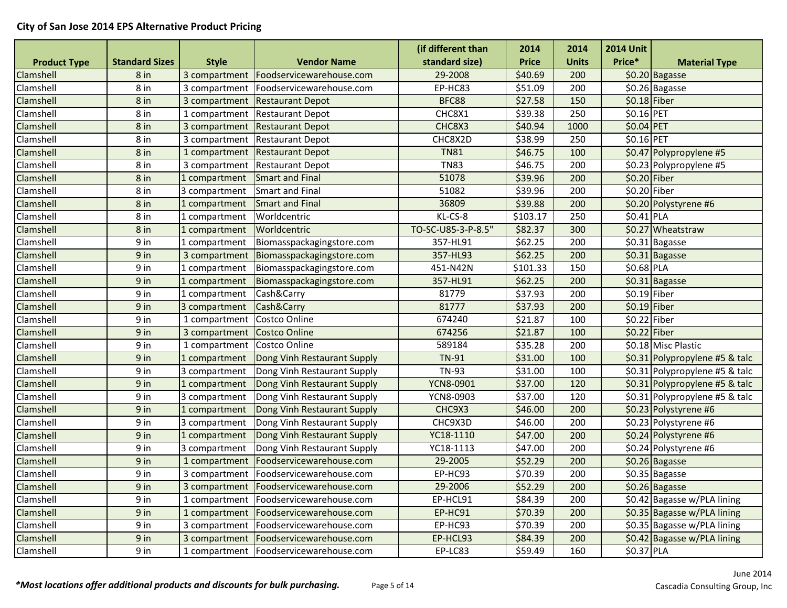|                     |                       |               |                                          | (if different than | 2014         | 2014         | <b>2014 Unit</b> |                                |
|---------------------|-----------------------|---------------|------------------------------------------|--------------------|--------------|--------------|------------------|--------------------------------|
| <b>Product Type</b> | <b>Standard Sizes</b> | <b>Style</b>  | <b>Vendor Name</b>                       | standard size)     | <b>Price</b> | <b>Units</b> | Price*           | <b>Material Type</b>           |
| Clamshell           | 8 in                  | 3 compartment | Foodservicewarehouse.com                 | 29-2008            | \$40.69      | 200          |                  | \$0.20 Bagasse                 |
| Clamshell           | 8 in                  | 3 compartment | Foodservicewarehouse.com                 | EP-HC83            | \$51.09      | 200          |                  | \$0.26 Bagasse                 |
| Clamshell           | 8 in                  | 3 compartment | <b>Restaurant Depot</b>                  | BFC88              | \$27.58      | 150          | $$0.18$ Fiber    |                                |
| Clamshell           | 8 in                  | 1 compartment | <b>Restaurant Depot</b>                  | CHC8X1             | \$39.38      | 250          | \$0.16 PET       |                                |
| Clamshell           | 8 <sub>in</sub>       | 3 compartment | <b>Restaurant Depot</b>                  | CHC8X3             | \$40.94      | 1000         | \$0.04 PET       |                                |
| Clamshell           | 8 in                  | 3 compartment | <b>Restaurant Depot</b>                  | CHC8X2D            | \$38.99      | 250          | \$0.16 PET       |                                |
| Clamshell           | 8 in                  | 1 compartment | <b>Restaurant Depot</b>                  | <b>TN81</b>        | \$46.75      | 100          |                  | \$0.47 Polypropylene #5        |
| Clamshell           | 8 in                  | 3 compartment | <b>Restaurant Depot</b>                  | <b>TN83</b>        | \$46.75      | 200          |                  | \$0.23 Polypropylene #5        |
| Clamshell           | 8 in                  | 1 compartment | Smart and Final                          | 51078              | \$39.96      | 200          | \$0.20 Fiber     |                                |
| Clamshell           | 8 in                  | 3 compartment | Smart and Final                          | 51082              | \$39.96      | 200          | $$0.20$ Fiber    |                                |
| Clamshell           | $8$ in                | 1 compartment | <b>Smart and Final</b>                   | 36809              | \$39.88      | 200          |                  | \$0.20 Polystyrene #6          |
| Clamshell           | 8 in                  | 1 compartment | Worldcentric                             | KL-CS-8            | \$103.17     | 250          | $$0.41$ PLA      |                                |
| Clamshell           | 8 in                  | 1 compartment | Worldcentric                             | TO-SC-U85-3-P-8.5" | \$82.37      | 300          |                  | \$0.27 Wheatstraw              |
| Clamshell           | 9 in                  | 1 compartment | Biomasspackagingstore.com                | 357-HL91           | \$62.25      | 200          |                  | $\overline{50.31}$ Bagasse     |
| <b>Clamshell</b>    | 9 in                  | 3 compartment | Biomasspackagingstore.com                | 357-HL93           | \$62.25      | 200          |                  | \$0.31 Bagasse                 |
| Clamshell           | 9 in                  | 1 compartment | Biomasspackagingstore.com                | 451-N42N           | \$101.33     | 150          | \$0.68 PLA       |                                |
| Clamshell           | 9 in                  | 1 compartment | Biomasspackagingstore.com                | 357-HL91           | \$62.25      | 200          |                  | \$0.31 Bagasse                 |
| Clamshell           | 9 in                  | 1 compartment | Cash&Carry                               | 81779              | \$37.93      | 200          | $$0.19$ Fiber    |                                |
| Clamshell           | 9 in                  | 3 compartment | Cash&Carry                               | 81777              | \$37.93      | 200          | $$0.19$ Fiber    |                                |
| Clamshell           | 9 in                  | 1 compartment | Costco Online                            | 674240             | \$21.87      | 100          | \$0.22 Fiber     |                                |
| Clamshell           | 9 in                  | 3 compartment | Costco Online                            | 674256             | \$21.87      | 100          | $$0.22$ Fiber    |                                |
| Clamshell           | 9 in                  | 1 compartment | Costco Online                            | 589184             | \$35.28      | 200          |                  | \$0.18 Misc Plastic            |
| Clamshell           | $9$ in                | 1 compartment | Dong Vinh Restaurant Supply              | <b>TN-91</b>       | \$31.00      | 100          |                  | \$0.31 Polypropylene #5 & talc |
| Clamshell           | 9 in                  | 3 compartment | Dong Vinh Restaurant Supply              | <b>TN-93</b>       | \$31.00      | 100          |                  | \$0.31 Polypropylene #5 & talc |
| Clamshell           | 9 in                  | 1 compartment | Dong Vinh Restaurant Supply              | <b>YCN8-0901</b>   | \$37.00      | 120          |                  | \$0.31 Polypropylene #5 & talc |
| Clamshell           | 9 in                  | 3 compartment | Dong Vinh Restaurant Supply              | YCN8-0903          | \$37.00      | 120          |                  | \$0.31 Polypropylene #5 & talc |
| Clamshell           | 9 in                  | 1 compartment | Dong Vinh Restaurant Supply              | CHC9X3             | \$46.00      | 200          |                  | \$0.23 Polystyrene #6          |
| Clamshell           | 9 in                  | 3 compartment | Dong Vinh Restaurant Supply              | CHC9X3D            | \$46.00      | 200          |                  | \$0.23 Polystyrene #6          |
| Clamshell           | 9 in                  | 1 compartment | Dong Vinh Restaurant Supply              | YC18-1110          | \$47.00      | 200          |                  | \$0.24 Polystyrene #6          |
| Clamshell           | 9 in                  | 3 compartment | Dong Vinh Restaurant Supply              | YC18-1113          | \$47.00      | 200          |                  | \$0.24 Polystyrene #6          |
| Clamshell           | 9 in                  | 1 compartment | Foodservicewarehouse.com                 | 29-2005            | \$52.29      | 200          |                  | \$0.26 Bagasse                 |
| Clamshell           | 9 in                  | 3 compartment | Foodservicewarehouse.com                 | EP-HC93            | \$70.39      | 200          |                  | \$0.35 Bagasse                 |
| <b>Clamshell</b>    | 9 <sub>in</sub>       |               | 3 compartment   Foodservicewarehouse.com | 29-2006            | \$52.29      | 200          |                  | \$0.26 Bagasse                 |
| Clamshell           | 9 in                  | 1 compartment | Foodservicewarehouse.com                 | EP-HCL91           | \$84.39      | 200          |                  | \$0.42 Bagasse w/PLA lining    |
| Clamshell           | 9 in                  | 1 compartment | Foodservicewarehouse.com                 | EP-HC91            | \$70.39      | 200          |                  | \$0.35 Bagasse w/PLA lining    |
| Clamshell           | 9 in                  | 3 compartment | Foodservicewarehouse.com                 | EP-HC93            | \$70.39      | 200          |                  | \$0.35 Bagasse w/PLA lining    |
| Clamshell           | 9 in                  | 3 compartment | Foodservicewarehouse.com                 | EP-HCL93           | \$84.39      | 200          |                  | \$0.42 Bagasse w/PLA lining    |
| Clamshell           | 9 in                  |               | 1 compartment   Foodservicewarehouse.com | EP-LC83            | \$59.49      | 160          | \$0.37 PLA       |                                |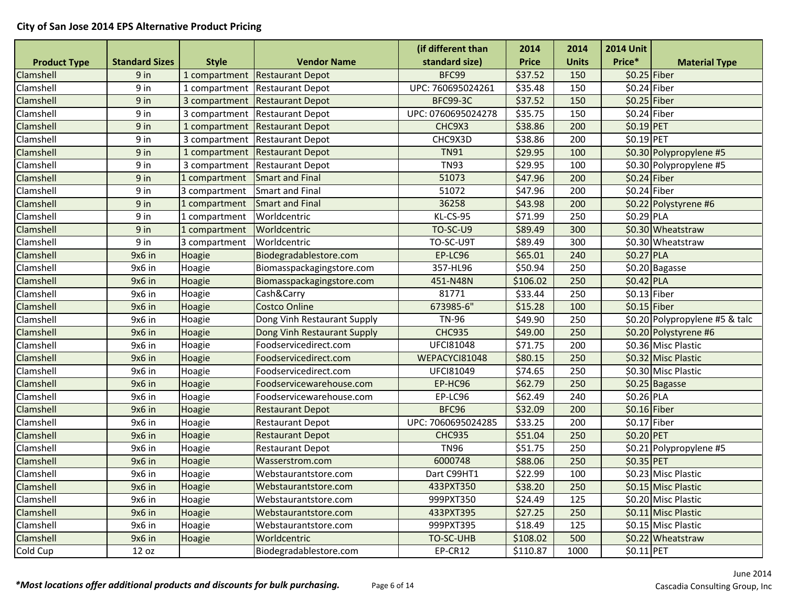|                     |                       |               |                                | (if different than | 2014         | 2014         | <b>2014 Unit</b> |                                |
|---------------------|-----------------------|---------------|--------------------------------|--------------------|--------------|--------------|------------------|--------------------------------|
| <b>Product Type</b> | <b>Standard Sizes</b> | <b>Style</b>  | <b>Vendor Name</b>             | standard size)     | <b>Price</b> | <b>Units</b> | Price*           | <b>Material Type</b>           |
| Clamshell           | 9 in                  |               | 1 compartment Restaurant Depot | BFC99              | \$37.52      | 150          | $$0.25$ Fiber    |                                |
| Clamshell           | 9 in                  |               | 1 compartment Restaurant Depot | UPC: 760695024261  | \$35.48      | 150          | \$0.24 Fiber     |                                |
| Clamshell           | 9 in                  |               | 3 compartment Restaurant Depot | <b>BFC99-3C</b>    | \$37.52      | 150          | $$0.25$ Fiber    |                                |
| Clamshell           | 9 in                  |               | 3 compartment Restaurant Depot | UPC: 0760695024278 | \$35.75      | 150          | \$0.24 Fiber     |                                |
| Clamshell           | $9$ in                | 1 compartment | <b>Restaurant Depot</b>        | CHC9X3             | \$38.86      | 200          | \$0.19 PET       |                                |
| Clamshell           | 9 in                  |               | 3 compartment Restaurant Depot | CHC9X3D            | \$38.86      | 200          | \$0.19 PET       |                                |
| Clamshell           | 9 in                  |               | 1 compartment Restaurant Depot | <b>TN91</b>        | \$29.95      | 100          |                  | \$0.30 Polypropylene #5        |
| Clamshell           | 9 in                  |               | 3 compartment Restaurant Depot | <b>TN93</b>        | \$29.95      | 100          |                  | \$0.30 Polypropylene #5        |
| Clamshell           | $9$ in                | 1 compartment | Smart and Final                | 51073              | \$47.96      | 200          | $$0.24$ Fiber    |                                |
| Clamshell           | 9 in                  | 3 compartment | <b>Smart and Final</b>         | 51072              | \$47.96      | 200          | $$0.24$ Fiber    |                                |
| Clamshell           | 9 in                  | 1 compartment | <b>Smart and Final</b>         | 36258              | \$43.98      | 200          |                  | \$0.22 Polystyrene #6          |
| Clamshell           | 9 in                  | 1 compartment | Worldcentric                   | KL-CS-95           | \$71.99      | 250          | \$0.29 PLA       |                                |
| Clamshell           | 9 in                  | 1 compartment | Worldcentric                   | <b>TO-SC-U9</b>    | \$89.49      | 300          |                  | \$0.30 Wheatstraw              |
| Clamshell           | 9 in                  | 3 compartment | Worldcentric                   | TO-SC-U9T          | \$89.49      | 300          |                  | \$0.30 Wheatstraw              |
| Clamshell           | 9x6 in                | Hoagie        | Biodegradablestore.com         | EP-LC96            | \$65.01      | 240          | \$0.27 PLA       |                                |
| Clamshell           | 9x6 in                | Hoagie        | Biomasspackagingstore.com      | 357-HL96           | \$50.94      | 250          |                  | $\overline{50.20}$ Bagasse     |
| Clamshell           | 9x6 in                | Hoagie        | Biomasspackagingstore.com      | 451-N48N           | \$106.02     | 250          | \$0.42 PLA       |                                |
| Clamshell           | 9x6 in                | Hoagie        | Cash&Carry                     | 81771              | \$33.44      | 250          | $$0.13$ Fiber    |                                |
| Clamshell           | 9x6 in                | Hoagie        | <b>Costco Online</b>           | 673985-6"          | \$15.28      | 100          | $$0.15$ Fiber    |                                |
| Clamshell           | 9x6 in                | Hoagie        | Dong Vinh Restaurant Supply    | <b>TN-96</b>       | \$49.90      | 250          |                  | \$0.20 Polypropylene #5 & talc |
| Clamshell           | 9x6 in                | Hoagie        | Dong Vinh Restaurant Supply    | <b>CHC935</b>      | \$49.00      | 250          |                  | \$0.20 Polystyrene #6          |
| Clamshell           | 9x6 in                | Hoagie        | Foodservicedirect.com          | <b>UFCI81048</b>   | \$71.75      | 200          |                  | \$0.36 Misc Plastic            |
| Clamshell           | 9x6 in                | Hoagie        | Foodservicedirect.com          | WEPACYCI81048      | \$80.15      | 250          |                  | \$0.32 Misc Plastic            |
| Clamshell           | 9x6 in                | Hoagie        | Foodservicedirect.com          | UFCI81049          | \$74.65      | 250          |                  | \$0.30 Misc Plastic            |
| Clamshell           | 9x6 in                | Hoagie        | Foodservicewarehouse.com       | EP-HC96            | \$62.79      | 250          |                  | \$0.25 Bagasse                 |
| Clamshell           | 9x6 in                | Hoagie        | Foodservicewarehouse.com       | EP-LC96            | \$62.49      | 240          | \$0.26 PLA       |                                |
| Clamshell           | 9x6 in                | Hoagie        | <b>Restaurant Depot</b>        | BFC96              | \$32.09      | 200          | \$0.16 Fiber     |                                |
| Clamshell           | 9x6 in                | Hoagie        | <b>Restaurant Depot</b>        | UPC: 7060695024285 | \$33.25      | 200          | \$0.17 Fiber     |                                |
| Clamshell           | 9x6 in                | Hoagie        | <b>Restaurant Depot</b>        | <b>CHC935</b>      | \$51.04      | 250          | \$0.20 PET       |                                |
| Clamshell           | 9x6 in                | Hoagie        | <b>Restaurant Depot</b>        | <b>TN96</b>        | \$51.75      | 250          |                  | \$0.21 Polypropylene #5        |
| Clamshell           | 9x6 in                | Hoagie        | Wasserstrom.com                | 6000748            | \$88.06      | 250          | \$0.35 PET       |                                |
| Clamshell           | 9x6 in                | Hoagie        | Webstaurantstore.com           | Dart C99HT1        | \$22.99      | 100          |                  | \$0.23 Misc Plastic            |
| Clamshell           | 9x6 in                | Hoagie        | Webstaurantstore.com           | 433PXT350          | \$38.20      | 250          |                  | \$0.15 Misc Plastic            |
| Clamshell           | 9x6 in                | Hoagie        | Webstaurantstore.com           | 999PXT350          | \$24.49      | 125          |                  | \$0.20 Misc Plastic            |
| Clamshell           | 9x6 in                | Hoagie        | Webstaurantstore.com           | 433PXT395          | \$27.25      | 250          |                  | \$0.11 Misc Plastic            |
| Clamshell           | 9x6 in                | Hoagie        | Webstaurantstore.com           | 999PXT395          | \$18.49      | 125          |                  | \$0.15 Misc Plastic            |
| Clamshell           | 9x6 in                | Hoagie        | Worldcentric                   | TO-SC-UHB          | \$108.02     | 500          |                  | \$0.22 Wheatstraw              |
| Cold Cup            | 12 oz                 |               | Biodegradablestore.com         | EP-CR12            | \$110.87     | 1000         | \$0.11 PET       |                                |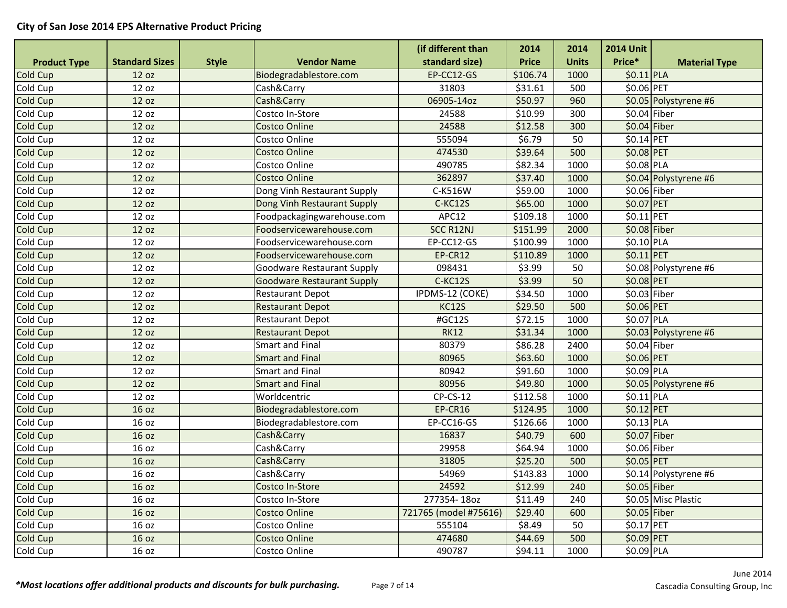|                     |                       |              |                                   | (if different than    | 2014         | 2014         | <b>2014 Unit</b> |                       |
|---------------------|-----------------------|--------------|-----------------------------------|-----------------------|--------------|--------------|------------------|-----------------------|
| <b>Product Type</b> | <b>Standard Sizes</b> | <b>Style</b> | <b>Vendor Name</b>                | standard size)        | <b>Price</b> | <b>Units</b> | Price*           | <b>Material Type</b>  |
| Cold Cup            | 12 oz                 |              | Biodegradablestore.com            | EP-CC12-GS            | \$106.74     | 1000         | $$0.11$ PLA      |                       |
| Cold Cup            | 12 oz                 |              | Cash&Carry                        | 31803                 | \$31.61      | 500          | \$0.06 PET       |                       |
| Cold Cup            | 12 oz                 |              | Cash&Carry                        | 06905-14oz            | \$50.97      | 960          |                  | \$0.05 Polystyrene #6 |
| Cold Cup            | 12 oz                 |              | Costco In-Store                   | 24588                 | \$10.99      | 300          | \$0.04 Fiber     |                       |
| Cold Cup            | 12 oz                 |              | <b>Costco Online</b>              | 24588                 | \$12.58      | 300          | $$0.04$ Fiber    |                       |
| Cold Cup            | 12 oz                 |              | Costco Online                     | 555094                | \$6.79       | 50           | \$0.14 PET       |                       |
| Cold Cup            | 12 oz                 |              | <b>Costco Online</b>              | 474530                | \$39.64      | 500          | \$0.08 PET       |                       |
| Cold Cup            | 12 oz                 |              | Costco Online                     | 490785                | \$82.34      | 1000         | \$0.08 PLA       |                       |
| Cold Cup            | 12 oz                 |              | <b>Costco Online</b>              | 362897                | \$37.40      | 1000         |                  | \$0.04 Polystyrene #6 |
| Cold Cup            | 12 oz                 |              | Dong Vinh Restaurant Supply       | C-K516W               | \$59.00      | 1000         | \$0.06 Fiber     |                       |
| Cold Cup            | 12 oz                 |              | Dong Vinh Restaurant Supply       | C-KC12S               | \$65.00      | 1000         | \$0.07 PET       |                       |
| Cold Cup            | 12 oz                 |              | Foodpackagingwarehouse.com        | APC12                 | \$109.18     | 1000         | \$0.11 PET       |                       |
| Cold Cup            | 12 oz                 |              | Foodservicewarehouse.com          | SCC R12NJ             | \$151.99     | 2000         | $$0.08$ Fiber    |                       |
| Cold Cup            | 12 oz                 |              | Foodservicewarehouse.com          | EP-CC12-GS            | \$100.99     | 1000         | \$0.10 PLA       |                       |
| <b>Cold Cup</b>     | 12 oz                 |              | Foodservicewarehouse.com          | EP-CR12               | \$110.89     | 1000         | $$0.11$ PET      |                       |
| Cold Cup            | 12 oz                 |              | Goodware Restaurant Supply        | 098431                | \$3.99       | 50           |                  | \$0.08 Polystyrene #6 |
| Cold Cup            | 12 oz                 |              | <b>Goodware Restaurant Supply</b> | C-KC12S               | \$3.99       | 50           | \$0.08 PET       |                       |
| Cold Cup            | 12 oz                 |              | <b>Restaurant Depot</b>           | IPDMS-12 (COKE)       | \$34.50      | 1000         | \$0.03 Fiber     |                       |
| Cold Cup            | 12 oz                 |              | <b>Restaurant Depot</b>           | <b>KC12S</b>          | \$29.50      | 500          | \$0.06 PET       |                       |
| Cold Cup            | 12 oz                 |              | <b>Restaurant Depot</b>           | #GC12S                | \$72.15      | 1000         | \$0.07 PLA       |                       |
| Cold Cup            | 12 oz                 |              | <b>Restaurant Depot</b>           | <b>RK12</b>           | \$31.34      | 1000         |                  | \$0.03 Polystyrene #6 |
| Cold Cup            | 12 oz                 |              | <b>Smart and Final</b>            | 80379                 | \$86.28      | 2400         | \$0.04 Fiber     |                       |
| Cold Cup            | 12 oz                 |              | <b>Smart and Final</b>            | 80965                 | \$63.60      | 1000         | \$0.06 PET       |                       |
| Cold Cup            | 12 oz                 |              | <b>Smart and Final</b>            | 80942                 | \$91.60      | 1000         | \$0.09 PLA       |                       |
| Cold Cup            | 12 oz                 |              | <b>Smart and Final</b>            | 80956                 | \$49.80      | 1000         |                  | \$0.05 Polystyrene #6 |
| Cold Cup            | 12 oz                 |              | Worldcentric                      | $CP$ -CS-12           | \$112.58     | 1000         | \$0.11 PLA       |                       |
| Cold Cup            | 16 oz                 |              | Biodegradablestore.com            | EP-CR16               | \$124.95     | 1000         | $$0.12$ PET      |                       |
| Cold Cup            | 16 oz                 |              | Biodegradablestore.com            | EP-CC16-GS            | \$126.66     | 1000         | \$0.13 PLA       |                       |
| Cold Cup            | 16 oz                 |              | Cash&Carry                        | 16837                 | \$40.79      | 600          | $$0.07$ Fiber    |                       |
| Cold Cup            | 16 oz                 |              | Cash&Carry                        | 29958                 | \$64.94      | 1000         | \$0.06 Fiber     |                       |
| Cold Cup            | 16 oz                 |              | Cash&Carry                        | 31805                 | \$25.20      | 500          | \$0.05 PET       |                       |
| Cold Cup            | 16 oz                 |              | Cash&Carry                        | 54969                 | \$143.83     | 1000         |                  | \$0.14 Polystyrene #6 |
| Cold Cup            | 16 oz                 |              | Costco In-Store                   | 24592                 | \$12.99      | 240          | $$0.05$ Fiber    |                       |
| Cold Cup            | 16 oz                 |              | Costco In-Store                   | 277354-18oz           | \$11.49      | 240          |                  | \$0.05 Misc Plastic   |
| Cold Cup            | 16 oz                 |              | <b>Costco Online</b>              | 721765 (model #75616) | \$29.40      | 600          | \$0.05 Fiber     |                       |
| Cold Cup            | 16 oz                 |              | Costco Online                     | 555104                | \$8.49       | 50           | \$0.17 PET       |                       |
| Cold Cup            | 16 oz                 |              | <b>Costco Online</b>              | 474680                | \$44.69      | 500          | \$0.09 PET       |                       |
| Cold Cup            | 16 oz                 |              | Costco Online                     | 490787                | \$94.11      | 1000         | \$0.09 PLA       |                       |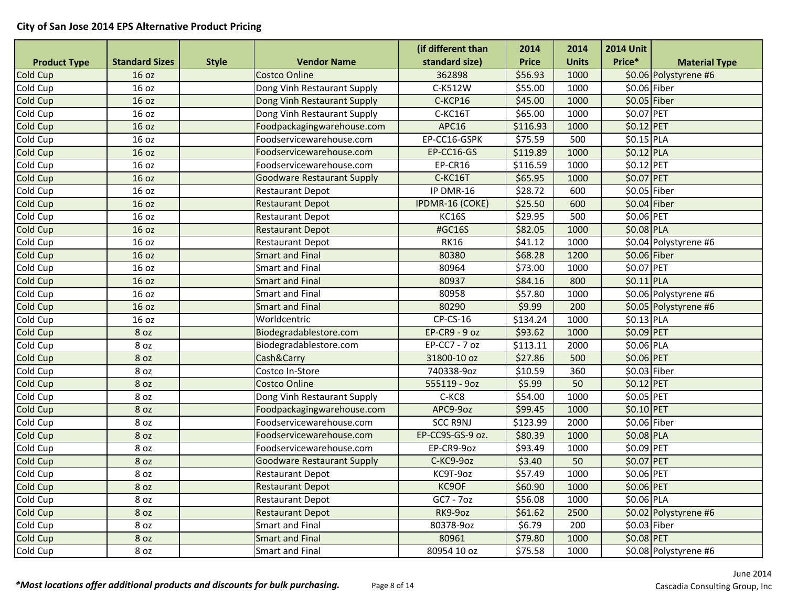|                     |                       |              |                                   | (if different than | 2014         | 2014         | <b>2014 Unit</b> |                       |
|---------------------|-----------------------|--------------|-----------------------------------|--------------------|--------------|--------------|------------------|-----------------------|
| <b>Product Type</b> | <b>Standard Sizes</b> | <b>Style</b> | <b>Vendor Name</b>                | standard size)     | <b>Price</b> | <b>Units</b> | Price*           | <b>Material Type</b>  |
| Cold Cup            | 16 oz                 |              | <b>Costco Online</b>              | 362898             | \$56.93      | 1000         |                  | \$0.06 Polystyrene #6 |
| Cold Cup            | 16 oz                 |              | Dong Vinh Restaurant Supply       | C-K512W            | \$55.00      | 1000         | \$0.06 Fiber     |                       |
| Cold Cup            | 16 oz                 |              | Dong Vinh Restaurant Supply       | C-KCP16            | \$45.00      | 1000         | $$0.05$ Fiber    |                       |
| Cold Cup            | 16 oz                 |              | Dong Vinh Restaurant Supply       | C-KC16T            | \$65.00      | 1000         | \$0.07 PET       |                       |
| Cold Cup            | 16 oz                 |              | Foodpackagingwarehouse.com        | <b>APC16</b>       | \$116.93     | 1000         | \$0.12 PET       |                       |
| Cold Cup            | 16 oz                 |              | Foodservicewarehouse.com          | EP-CC16-GSPK       | \$75.59      | 500          | \$0.15 PLA       |                       |
| Cold Cup            | 16 oz                 |              | Foodservicewarehouse.com          | EP-CC16-GS         | \$119.89     | 1000         | \$0.12 PLA       |                       |
| Cold Cup            | 16 oz                 |              | Foodservicewarehouse.com          | EP-CR16            | \$116.59     | 1000         | \$0.12 PET       |                       |
| Cold Cup            | 16 oz                 |              | <b>Goodware Restaurant Supply</b> | C-KC16T            | \$65.95      | 1000         | \$0.07 PET       |                       |
| Cold Cup            | 16 oz                 |              | <b>Restaurant Depot</b>           | IP DMR-16          | \$28.72      | 600          | \$0.05 Fiber     |                       |
| Cold Cup            | 16 oz                 |              | <b>Restaurant Depot</b>           | IPDMR-16 (COKE)    | \$25.50      | 600          | $$0.04$ Fiber    |                       |
| Cold Cup            | 16 oz                 |              | <b>Restaurant Depot</b>           | <b>KC16S</b>       | \$29.95      | 500          | \$0.06 PET       |                       |
| Cold Cup            | 16 oz                 |              | <b>Restaurant Depot</b>           | #GC16S             | \$82.05      | 1000         | \$0.08 PLA       |                       |
| Cold Cup            | 16 oz                 |              | <b>Restaurant Depot</b>           | <b>RK16</b>        | \$41.12      | 1000         |                  | \$0.04 Polystyrene #6 |
| Cold Cup            | 16 oz                 |              | <b>Smart and Final</b>            | 80380              | \$68.28      | 1200         | \$0.06 Fiber     |                       |
| Cold Cup            | 16 oz                 |              | <b>Smart and Final</b>            | 80964              | \$73.00      | 1000         | \$0.07 PET       |                       |
| Cold Cup            | 16 oz                 |              | <b>Smart and Final</b>            | 80937              | \$84.16      | 800          | $$0.11$ PLA      |                       |
| Cold Cup            | 16 oz                 |              | <b>Smart and Final</b>            | 80958              | \$57.80      | 1000         |                  | \$0.06 Polystyrene #6 |
| Cold Cup            | 16 oz                 |              | <b>Smart and Final</b>            | 80290              | \$9.99       | 200          |                  | \$0.05 Polystyrene #6 |
| Cold Cup            | 16 oz                 |              | Worldcentric                      | $CP$ -CS-16        | \$134.24     | 1000         | \$0.13 PLA       |                       |
| Cold Cup            | 8 oz                  |              | Biodegradablestore.com            | EP-CR9 - 9 oz      | \$93.62      | 1000         | \$0.09 PET       |                       |
| Cold Cup            | 8 oz                  |              | Biodegradablestore.com            | $EP-CC7 - 7 oz$    | \$113.11     | 2000         | \$0.06 PLA       |                       |
| Cold Cup            | 8 oz                  |              | Cash&Carry                        | 31800-10 oz        | \$27.86      | 500          | \$0.06 PET       |                       |
| Cold Cup            | 8 oz                  |              | Costco In-Store                   | 740338-9oz         | \$10.59      | 360          | \$0.03 Fiber     |                       |
| Cold Cup            | 8 oz                  |              | <b>Costco Online</b>              | 555119 - 9oz       | \$5.99       | 50           | \$0.12 PET       |                       |
| Cold Cup            | 8 oz                  |              | Dong Vinh Restaurant Supply       | C-KC8              | \$54.00      | 1000         | \$0.05 PET       |                       |
| Cold Cup            | 8 oz                  |              | Foodpackagingwarehouse.com        | APC9-9oz           | \$99.45      | 1000         | \$0.10 PET       |                       |
| Cold Cup            | 8 oz                  |              | Foodservicewarehouse.com          | <b>SCC R9NJ</b>    | \$123.99     | 2000         | \$0.06 Fiber     |                       |
| Cold Cup            | 8 oz                  |              | Foodservicewarehouse.com          | EP-CC9S-GS-9 oz.   | \$80.39      | 1000         | \$0.08 PLA       |                       |
| Cold Cup            | 8 oz                  |              | Foodservicewarehouse.com          | EP-CR9-9oz         | \$93.49      | 1000         | \$0.09 PET       |                       |
| Cold Cup            | 8 oz                  |              | <b>Goodware Restaurant Supply</b> | C-KC9-9oz          | \$3.40       | 50           | \$0.07 PET       |                       |
| Cold Cup            | 8 oz                  |              | <b>Restaurant Depot</b>           | KC9T-9oz           | \$57.49      | 1000         | \$0.06 PET       |                       |
| Cold Cup            | 8 oz                  |              | <b>Restaurant Depot</b>           | KC9OF              | \$60.90      | 1000         | \$0.06 PET       |                       |
| Cold Cup            | 8 oz                  |              | <b>Restaurant Depot</b>           | GC7 - 7oz          | \$56.08      | 1000         | \$0.06 PLA       |                       |
| Cold Cup            | 8 oz                  |              | <b>Restaurant Depot</b>           | RK9-9oz            | \$61.62      | 2500         |                  | \$0.02 Polystyrene #6 |
| Cold Cup            | 8 oz                  |              | <b>Smart and Final</b>            | 80378-9oz          | \$6.79       | 200          | \$0.03 Fiber     |                       |
| Cold Cup            | 8 oz                  |              | <b>Smart and Final</b>            | 80961              | \$79.80      | 1000         | \$0.08 PET       |                       |
| Cold Cup            | 8 oz                  |              | Smart and Final                   | 80954 10 oz        | \$75.58      | 1000         |                  | \$0.08 Polystyrene #6 |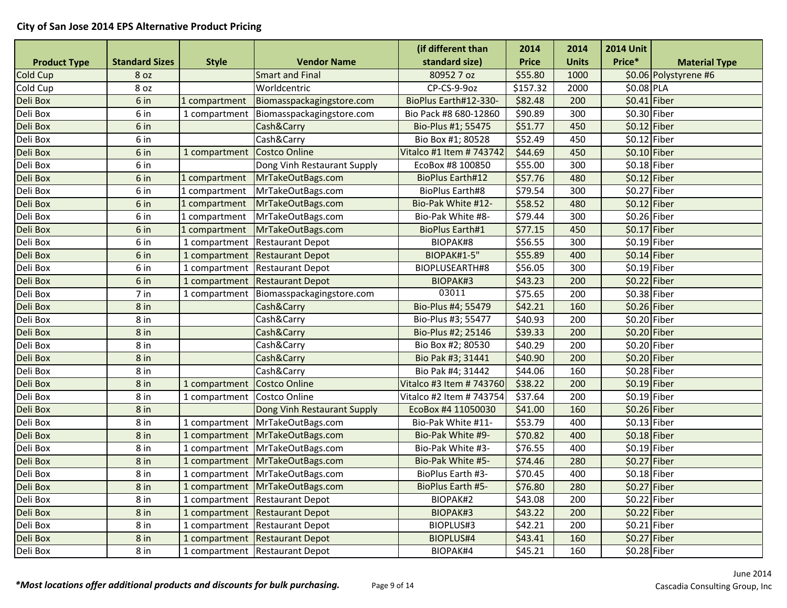|                     |                       |               |                                   | (if different than       | 2014               | 2014         | <b>2014 Unit</b> |                       |
|---------------------|-----------------------|---------------|-----------------------------------|--------------------------|--------------------|--------------|------------------|-----------------------|
| <b>Product Type</b> | <b>Standard Sizes</b> | <b>Style</b>  | <b>Vendor Name</b>                | standard size)           | <b>Price</b>       | <b>Units</b> | Price*           | <b>Material Type</b>  |
| Cold Cup            | 8 oz                  |               | <b>Smart and Final</b>            | 80952 7 oz               | \$55.80            | 1000         |                  | \$0.06 Polystyrene #6 |
| Cold Cup            | 8 oz                  |               | Worldcentric                      | CP-CS-9-9oz              | \$157.32           | 2000         | \$0.08 PLA       |                       |
| Deli Box            | 6 in                  | 1 compartment | Biomasspackagingstore.com         | BioPlus Earth#12-330-    | \$82.48            | 200          | $$0.41$ Fiber    |                       |
| Deli Box            | 6 in                  | 1 compartment | Biomasspackagingstore.com         | Bio Pack #8 680-12860    | \$90.89            | 300          | \$0.30 Fiber     |                       |
| Deli Box            | 6 in                  |               | Cash&Carry                        | Bio-Plus #1; 55475       | \$51.77            | 450          | $$0.12$ Fiber    |                       |
| Deli Box            | 6 in                  |               | Cash&Carry                        | Bio Box #1; 80528        | 552.49             | 450          | \$0.12 Fiber     |                       |
| Deli Box            | 6 in                  | 1 compartment | Costco Online                     | Vitalco #1 Item # 743742 | \$44.69            | 450          | \$0.10 Fiber     |                       |
| Deli Box            | 6 in                  |               | Dong Vinh Restaurant Supply       | EcoBox #8 100850         | \$55.00            | 300          | \$0.18 Fiber     |                       |
| Deli Box            | 6 in                  | 1 compartment | MrTakeOutBags.com                 | <b>BioPlus Earth#12</b>  | \$57.76            | 480          | $$0.12$ Fiber    |                       |
| Deli Box            | 6 in                  | 1 compartment | MrTakeOutBags.com                 | <b>BioPlus Earth#8</b>   | \$79.54            | 300          | \$0.27 Fiber     |                       |
| Deli Box            | 6 in                  | 1 compartment | MrTakeOutBags.com                 | Bio-Pak White #12-       | \$58.52            | 480          | $$0.12$ Fiber    |                       |
| Deli Box            | 6 in                  | 1 compartment | MrTakeOutBags.com                 | Bio-Pak White #8-        | \$79.44            | 300          | \$0.26 Fiber     |                       |
| Deli Box            | 6 in                  | 1 compartment | MrTakeOutBags.com                 | <b>BioPlus Earth#1</b>   | \$77.15            | 450          | \$0.17 Fiber     |                       |
| Deli Box            | 6 in                  | 1 compartment | <b>Restaurant Depot</b>           | BIOPAK#8                 | \$56.55            | 300          | \$0.19 Fiber     |                       |
| Deli Box            | 6 in                  | 1 compartment | <b>Restaurant Depot</b>           | BIOPAK#1-5"              | \$55.89            | 400          | $$0.14$ Fiber    |                       |
| Deli Box            | 6 in                  | 1 compartment | <b>Restaurant Depot</b>           | BIOPLUSEARTH#8           | \$56.05            | 300          | \$0.19 Fiber     |                       |
| Deli Box            | 6 in                  | 1 compartment | <b>Restaurant Depot</b>           | BIOPAK#3                 | \$43.23            | 200          | \$0.22 Fiber     |                       |
| Deli Box            | 7 in                  | 1 compartment | Biomasspackagingstore.com         | 03011                    | \$75.65            | 200          | \$0.38 Fiber     |                       |
| Deli Box            | 8 <sub>in</sub>       |               | Cash&Carry                        | Bio-Plus #4; 55479       | \$42.21            | 160          | \$0.26 Fiber     |                       |
| Deli Box            | 8 in                  |               | Cash&Carry                        | Bio-Plus #3; 55477       | \$40.93            | 200          | \$0.20 Fiber     |                       |
| Deli Box            | $8$ in                |               | Cash&Carry                        | Bio-Plus #2; 25146       | \$39.33            | 200          | \$0.20 Fiber     |                       |
| Deli Box            | 8 in                  |               | Cash&Carry                        | Bio Box #2; 80530        | \$40.29            | 200          | \$0.20 Fiber     |                       |
| Deli Box            | $8$ in                |               | Cash&Carry                        | Bio Pak #3; 31441        | \$40.90            | 200          | $$0.20$ Fiber    |                       |
| Deli Box            | 8 in                  |               | Cash&Carry                        | Bio Pak #4; 31442        | \$44.06            | 160          | \$0.28 Fiber     |                       |
| Deli Box            | $8$ in                | 1 compartment | Costco Online                     | Vitalco #3 Item # 743760 | \$38.22            | 200          | \$0.19 Fiber     |                       |
| Deli Box            | 8 in                  | 1 compartment | Costco Online                     | Vitalco #2 Item # 743754 | \$37.64            | 200          | \$0.19 Fiber     |                       |
| Deli Box            | 8 in                  |               | Dong Vinh Restaurant Supply       | EcoBox #4 11050030       | \$41.00            | 160          | \$0.26 Fiber     |                       |
| Deli Box            | 8 in                  | 1 compartment | MrTakeOutBags.com                 | Bio-Pak White #11-       | \$53.79            | 400          | \$0.13 Fiber     |                       |
| Deli Box            | 8 <sub>in</sub>       | 1 compartment | MrTakeOutBags.com                 | Bio-Pak White #9-        | \$70.82            | 400          | $$0.18$ Fiber    |                       |
| Deli Box            | 8 in                  |               | 1 compartment   MrTakeOutBags.com | Bio-Pak White #3-        | \$76.55            | 400          | \$0.19 Fiber     |                       |
| Deli Box            | 8 <sub>in</sub>       | 1 compartment | MrTakeOutBags.com                 | Bio-Pak White #5-        | \$74.46            | 280          | \$0.27 Fiber     |                       |
| Deli Box            | 8 in                  | 1 compartment | MrTakeOutBags.com                 | BioPlus Earth #3-        | $\frac{1}{570.45}$ | 400          | \$0.18 Fiber     |                       |
| Deli Box            | 8 <sub>in</sub>       | 1 compartment | MrTakeOutBags.com                 | <b>BioPlus Earth #5-</b> | \$76.80            | 280          | \$0.27 Fiber     |                       |
| Deli Box            | 8 in                  | 1 compartment | <b>Restaurant Depot</b>           | BIOPAK#2                 | \$43.08            | 200          | \$0.22 Fiber     |                       |
| Deli Box            | 8 <sub>in</sub>       | 1 compartment | <b>Restaurant Depot</b>           | BIOPAK#3                 | \$43.22            | 200          | \$0.22 Fiber     |                       |
| Deli Box            | 8 in                  | 1 compartment | <b>Restaurant Depot</b>           | BIOPLUS#3                | \$42.21            | 200          | \$0.21 Fiber     |                       |
| Deli Box            | $8$ in                | 1 compartment | <b>Restaurant Depot</b>           | <b>BIOPLUS#4</b>         | \$43.41            | 160          | \$0.27 Fiber     |                       |
| Deli Box            | 8 in                  |               | 1 compartment Restaurant Depot    | BIOPAK#4                 | \$45.21            | 160          | \$0.28 Fiber     |                       |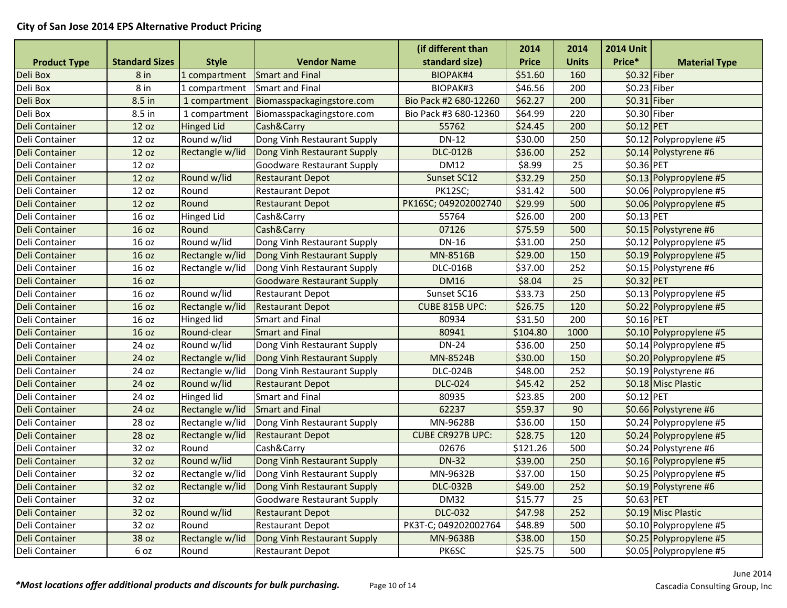|                       |                       |                   |                                   | (if different than      | 2014         | 2014         | <b>2014 Unit</b> |                         |
|-----------------------|-----------------------|-------------------|-----------------------------------|-------------------------|--------------|--------------|------------------|-------------------------|
| <b>Product Type</b>   | <b>Standard Sizes</b> | <b>Style</b>      | <b>Vendor Name</b>                | standard size)          | <b>Price</b> | <b>Units</b> | Price*           | <b>Material Type</b>    |
| Deli Box              | 8 in                  | 1 compartment     | <b>Smart and Final</b>            | BIOPAK#4                | \$51.60      | 160          | $$0.32$ Fiber    |                         |
| Deli Box              | 8 in                  | 1 compartment     | <b>Smart and Final</b>            | BIOPAK#3                | \$46.56      | 200          | \$0.23 Fiber     |                         |
| Deli Box              | 8.5 in                | 1 compartment     | Biomasspackagingstore.com         | Bio Pack #2 680-12260   | \$62.27      | 200          | $$0.31$ Fiber    |                         |
| Deli Box              | 8.5 in                | 1 compartment     | Biomasspackagingstore.com         | Bio Pack #3 680-12360   | \$64.99      | 220          | \$0.30 Fiber     |                         |
| Deli Container        | 12 oz                 | <b>Hinged Lid</b> | Cash&Carry                        | 55762                   | \$24.45      | 200          | \$0.12 PET       |                         |
| Deli Container        | 12 oz                 | Round w/lid       | Dong Vinh Restaurant Supply       | <b>DN-12</b>            | \$30.00      | 250          |                  | \$0.12 Polypropylene #5 |
| Deli Container        | 12 oz                 | Rectangle w/lid   | Dong Vinh Restaurant Supply       | <b>DLC-012B</b>         | \$36.00      | 252          |                  | \$0.14 Polystyrene #6   |
| Deli Container        | 12 oz                 |                   | <b>Goodware Restaurant Supply</b> | <b>DM12</b>             | \$8.99       | 25           | \$0.36 PET       |                         |
| <b>Deli Container</b> | 12 oz                 | Round w/lid       | <b>Restaurant Depot</b>           | Sunset SC12             | \$32.29      | 250          |                  | \$0.13 Polypropylene #5 |
| Deli Container        | 12 oz                 | Round             | <b>Restaurant Depot</b>           | PK12SC;                 | \$31.42      | 500          |                  | \$0.06 Polypropylene #5 |
| Deli Container        | 12 oz                 | Round             | <b>Restaurant Depot</b>           | PK16SC; 049202002740    | \$29.99      | 500          |                  | \$0.06 Polypropylene #5 |
| Deli Container        | 16 oz                 | <b>Hinged Lid</b> | Cash&Carry                        | 55764                   | \$26.00      | 200          | \$0.13 PET       |                         |
| <b>Deli Container</b> | 16 oz                 | Round             | Cash&Carry                        | 07126                   | \$75.59      | 500          |                  | \$0.15 Polystyrene #6   |
| Deli Container        | 16 oz                 | Round w/lid       | Dong Vinh Restaurant Supply       | DN-16                   | \$31.00      | 250          |                  | \$0.12 Polypropylene #5 |
| Deli Container        | 16 oz                 | Rectangle w/lid   | Dong Vinh Restaurant Supply       | MN-8516B                | \$29.00      | 150          |                  | \$0.19 Polypropylene #5 |
| Deli Container        | 16 oz                 | Rectangle w/lid   | Dong Vinh Restaurant Supply       | <b>DLC-016B</b>         | \$37.00      | 252          |                  | \$0.15 Polystyrene #6   |
| Deli Container        | 16 oz                 |                   | <b>Goodware Restaurant Supply</b> | <b>DM16</b>             | \$8.04       | 25           | \$0.32 PET       |                         |
| Deli Container        | 16 oz                 | Round w/lid       | <b>Restaurant Depot</b>           | Sunset SC16             | \$33.73      | 250          |                  | \$0.13 Polypropylene #5 |
| Deli Container        | 16 oz                 | Rectangle w/lid   | <b>Restaurant Depot</b>           | CUBE 815B UPC:          | \$26.75      | 120          |                  | \$0.22 Polypropylene #5 |
| Deli Container        | 16 oz                 | <b>Hinged lid</b> | Smart and Final                   | 80934                   | \$31.50      | 200          | \$0.16 PET       |                         |
| Deli Container        | 16 oz                 | Round-clear       | <b>Smart and Final</b>            | 80941                   | \$104.80     | 1000         |                  | \$0.10 Polypropylene #5 |
| Deli Container        | 24 oz                 | Round w/lid       | Dong Vinh Restaurant Supply       | <b>DN-24</b>            | \$36.00      | 250          |                  | \$0.14 Polypropylene #5 |
| Deli Container        | 24 oz                 | Rectangle w/lid   | Dong Vinh Restaurant Supply       | MN-8524B                | \$30.00      | 150          |                  | \$0.20 Polypropylene #5 |
| Deli Container        | 24 oz                 | Rectangle w/lid   | Dong Vinh Restaurant Supply       | <b>DLC-024B</b>         | \$48.00      | 252          |                  | \$0.19 Polystyrene #6   |
| Deli Container        | 24 oz                 | Round w/lid       | <b>Restaurant Depot</b>           | <b>DLC-024</b>          | \$45.42      | 252          |                  | \$0.18 Misc Plastic     |
| Deli Container        | 24 oz                 | <b>Hinged lid</b> | <b>Smart and Final</b>            | 80935                   | \$23.85      | 200          | \$0.12 PET       |                         |
| Deli Container        | 24 oz                 | Rectangle w/lid   | <b>Smart and Final</b>            | 62237                   | \$59.37      | 90           |                  | \$0.66 Polystyrene #6   |
| Deli Container        | 28 oz                 | Rectangle w/lid   | Dong Vinh Restaurant Supply       | MN-9628B                | \$36.00      | 150          |                  | \$0.24 Polypropylene #5 |
| Deli Container        | 28 oz                 | Rectangle w/lid   | <b>Restaurant Depot</b>           | <b>CUBE CR927B UPC:</b> | \$28.75      | 120          |                  | \$0.24 Polypropylene #5 |
| Deli Container        | 32 oz                 | Round             | Cash&Carry                        | 02676                   | \$121.26     | 500          |                  | \$0.24 Polystyrene #6   |
| Deli Container        | 32 oz                 | Round w/lid       | Dong Vinh Restaurant Supply       | <b>DN-32</b>            | \$39.00      | 250          |                  | \$0.16 Polypropylene #5 |
| Deli Container        | 32 oz                 | Rectangle w/lid   | Dong Vinh Restaurant Supply       | MN-9632B                | \$37.00      | 150          |                  | \$0.25 Polypropylene #5 |
| Deli Container        | 32 oz                 | Rectangle w/lid   | Dong Vinh Restaurant Supply       | <b>DLC-032B</b>         | \$49.00      | 252          |                  | \$0.19 Polystyrene #6   |
| Deli Container        | 32 oz                 |                   | <b>Goodware Restaurant Supply</b> | <b>DM32</b>             | \$15.77      | 25           | \$0.63 PET       |                         |
| Deli Container        | 32 oz                 | Round w/lid       | <b>Restaurant Depot</b>           | <b>DLC-032</b>          | \$47.98      | 252          |                  | \$0.19 Misc Plastic     |
| Deli Container        | 32 oz                 | Round             | <b>Restaurant Depot</b>           | PK3T-C; 049202002764    | \$48.89      | 500          |                  | \$0.10 Polypropylene #5 |
| Deli Container        | 38 oz                 | Rectangle w/lid   | Dong Vinh Restaurant Supply       | MN-9638B                | \$38.00      | 150          |                  | \$0.25 Polypropylene #5 |
| Deli Container        | 6 oz                  | Round             | <b>Restaurant Depot</b>           | PK6SC                   | \$25.75      | 500          |                  | \$0.05 Polypropylene #5 |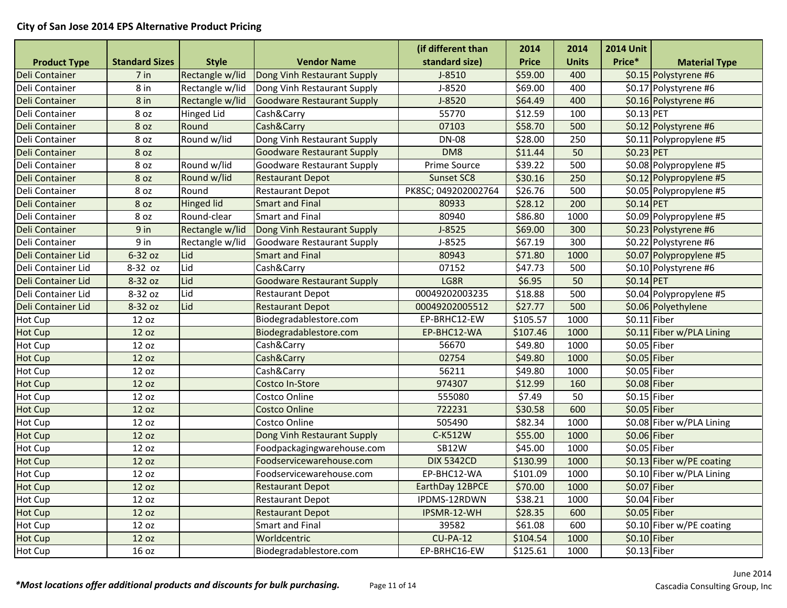|                       |                       |                   |                                   | (if different than  | 2014         | 2014         | <b>2014 Unit</b> |                           |
|-----------------------|-----------------------|-------------------|-----------------------------------|---------------------|--------------|--------------|------------------|---------------------------|
| <b>Product Type</b>   | <b>Standard Sizes</b> | <b>Style</b>      | <b>Vendor Name</b>                | standard size)      | <b>Price</b> | <b>Units</b> | Price*           | <b>Material Type</b>      |
| <b>Deli Container</b> | 7 in                  | Rectangle w/lid   | Dong Vinh Restaurant Supply       | $J-8510$            | \$59.00      | 400          |                  | \$0.15 Polystyrene #6     |
| Deli Container        | 8 in                  | Rectangle w/lid   | Dong Vinh Restaurant Supply       | J-8520              | \$69.00      | 400          |                  | \$0.17 Polystyrene #6     |
| <b>Deli Container</b> | 8 in                  | Rectangle w/lid   | Goodware Restaurant Supply        | J-8520              | \$64.49      | 400          |                  | \$0.16 Polystyrene #6     |
| Deli Container        | 8 oz                  | <b>Hinged Lid</b> | Cash&Carry                        | 55770               | \$12.59      | 100          | \$0.13 PET       |                           |
| Deli Container        | 8 oz                  | Round             | Cash&Carry                        | 07103               | \$58.70      | 500          |                  | \$0.12 Polystyrene #6     |
| Deli Container        | 8 oz                  | Round w/lid       | Dong Vinh Restaurant Supply       | <b>DN-08</b>        | \$28.00      | 250          |                  | \$0.11 Polypropylene #5   |
| Deli Container        | 8 oz                  |                   | <b>Goodware Restaurant Supply</b> | DM8                 | \$11.44      | 50           | \$0.23 PET       |                           |
| Deli Container        | 8 oz                  | Round w/lid       | Goodware Restaurant Supply        | Prime Source        | \$39.22      | 500          |                  | \$0.08 Polypropylene #5   |
| Deli Container        | 8 oz                  | Round w/lid       | <b>Restaurant Depot</b>           | Sunset SC8          | \$30.16      | 250          |                  | \$0.12 Polypropylene #5   |
| Deli Container        | 8 oz                  | Round             | <b>Restaurant Depot</b>           | PK8SC; 049202002764 | \$26.76      | 500          |                  | \$0.05 Polypropylene #5   |
| Deli Container        | 8 oz                  | <b>Hinged lid</b> | <b>Smart and Final</b>            | 80933               | \$28.12      | 200          | \$0.14 PET       |                           |
| Deli Container        | 8 oz                  | Round-clear       | <b>Smart and Final</b>            | 80940               | \$86.80      | 1000         |                  | \$0.09 Polypropylene #5   |
| Deli Container        | 9 in                  | Rectangle w/lid   | Dong Vinh Restaurant Supply       | $J-8525$            | \$69.00      | 300          |                  | \$0.23 Polystyrene #6     |
| Deli Container        | 9 in                  | Rectangle w/lid   | Goodware Restaurant Supply        | $J-8525$            | \$67.19      | 300          |                  | \$0.22 Polystyrene #6     |
| Deli Container Lid    | 6-32 oz               | Lid               | <b>Smart and Final</b>            | 80943               | \$71.80      | 1000         |                  | \$0.07 Polypropylene #5   |
| Deli Container Lid    | 8-32 oz               | Lid               | Cash&Carry                        | 07152               | \$47.73      | 500          |                  | \$0.10 Polystyrene #6     |
| Deli Container Lid    | 8-32 oz               | Lid               | <b>Goodware Restaurant Supply</b> | LG8R                | \$6.95       | 50           | $$0.14$ PET      |                           |
| Deli Container Lid    | 8-32 oz               | Lid               | <b>Restaurant Depot</b>           | 00049202003235      | \$18.88      | 500          |                  | \$0.04 Polypropylene #5   |
| Deli Container Lid    | 8-32 oz               | Lid               | <b>Restaurant Depot</b>           | 00049202005512      | \$27.77      | 500          |                  | \$0.06 Polyethylene       |
| Hot Cup               | 12 oz                 |                   | Biodegradablestore.com            | EP-BRHC12-EW        | \$105.57     | 1000         | $$0.11$ Fiber    |                           |
| <b>Hot Cup</b>        | 12 oz                 |                   | Biodegradablestore.com            | EP-BHC12-WA         | \$107.46     | 1000         |                  | \$0.11 Fiber w/PLA Lining |
| Hot Cup               | 12 oz                 |                   | Cash&Carry                        | 56670               | \$49.80      | 1000         | \$0.05 Fiber     |                           |
| <b>Hot Cup</b>        | 12 oz                 |                   | Cash&Carry                        | 02754               | \$49.80      | 1000         | $$0.05$ Fiber    |                           |
| <b>Hot Cup</b>        | 12 oz                 |                   | Cash&Carry                        | 56211               | \$49.80      | 1000         | $$0.05$ Fiber    |                           |
| <b>Hot Cup</b>        | 12 oz                 |                   | Costco In-Store                   | 974307              | \$12.99      | 160          | $$0.08$ Fiber    |                           |
| Hot Cup               | 12 oz                 |                   | Costco Online                     | 555080              | \$7.49       | 50           | \$0.15 Fiber     |                           |
| <b>Hot Cup</b>        | 12 oz                 |                   | <b>Costco Online</b>              | 722231              | \$30.58      | 600          | $$0.05$ Fiber    |                           |
| Hot Cup               | 12 oz                 |                   | Costco Online                     | 505490              | \$82.34      | 1000         |                  | \$0.08 Fiber w/PLA Lining |
| <b>Hot Cup</b>        | 12 oz                 |                   | Dong Vinh Restaurant Supply       | C-K512W             | \$55.00      | 1000         | \$0.06 Fiber     |                           |
| Hot Cup               | 12 oz                 |                   | Foodpackagingwarehouse.com        | <b>SB12W</b>        | \$45.00      | 1000         | $$0.05$ Fiber    |                           |
| <b>Hot Cup</b>        | 12 oz                 |                   | Foodservicewarehouse.com          | <b>DIX 5342CD</b>   | \$130.99     | 1000         |                  | \$0.13 Fiber w/PE coating |
| Hot Cup               | 12 oz                 |                   | Foodservicewarehouse.com          | EP-BHC12-WA         | \$101.09     | 1000         |                  | \$0.10 Fiber w/PLA Lining |
| <b>Hot Cup</b>        | 12 oz                 |                   | <b>Restaurant Depot</b>           | EarthDay 12BPCE     | \$70.00      | 1000         | $$0.07$ Fiber    |                           |
| Hot Cup               | 12 oz                 |                   | <b>Restaurant Depot</b>           | IPDMS-12RDWN        | \$38.21      | 1000         | \$0.04 Fiber     |                           |
| Hot Cup               | 12 oz                 |                   | <b>Restaurant Depot</b>           | IPSMR-12-WH         | \$28.35      | 600          | $$0.05$ Fiber    |                           |
| Hot Cup               | 12 oz                 |                   | <b>Smart and Final</b>            | 39582               | \$61.08      | 600          |                  | \$0.10 Fiber w/PE coating |
| <b>Hot Cup</b>        | 12 oz                 |                   | Worldcentric                      | $CU-PA-12$          | \$104.54     | 1000         | $$0.10$ Fiber    |                           |
| Hot Cup               | 16 oz                 |                   | Biodegradablestore.com            | EP-BRHC16-EW        | \$125.61     | 1000         | $$0.13$ Fiber    |                           |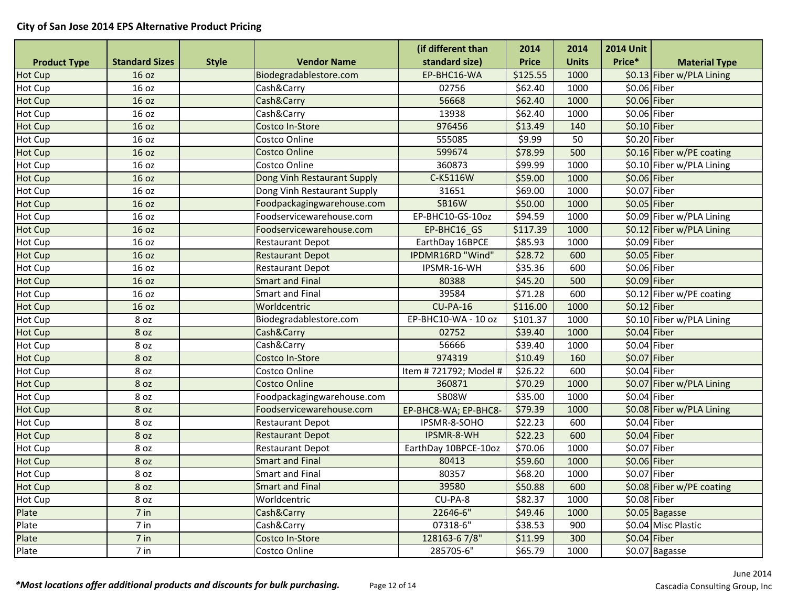|                     |                       |              |                             | (if different than    | 2014         | 2014         | <b>2014 Unit</b> |                           |
|---------------------|-----------------------|--------------|-----------------------------|-----------------------|--------------|--------------|------------------|---------------------------|
| <b>Product Type</b> | <b>Standard Sizes</b> | <b>Style</b> | <b>Vendor Name</b>          | standard size)        | <b>Price</b> | <b>Units</b> | Price*           | <b>Material Type</b>      |
| <b>Hot Cup</b>      | 16 oz                 |              | Biodegradablestore.com      | EP-BHC16-WA           | 5125.55      | 1000         |                  | \$0.13 Fiber w/PLA Lining |
| Hot Cup             | 16 oz                 |              | Cash&Carry                  | 02756                 | \$62.40      | 1000         | \$0.06 Fiber     |                           |
| Hot Cup             | 16 oz                 |              | Cash&Carry                  | 56668                 | \$62.40      | 1000         | \$0.06 Fiber     |                           |
| Hot Cup             | 16 oz                 |              | Cash&Carry                  | 13938                 | \$62.40      | 1000         | \$0.06 Fiber     |                           |
| <b>Hot Cup</b>      | 16 oz                 |              | Costco In-Store             | 976456                | \$13.49      | 140          | $$0.10$ Fiber    |                           |
| Hot Cup             | 16 oz                 |              | Costco Online               | 555085                | \$9.99       | 50           | \$0.20 Fiber     |                           |
| Hot Cup             | 16 oz                 |              | <b>Costco Online</b>        | 599674                | \$78.99      | 500          |                  | \$0.16 Fiber w/PE coating |
| Hot Cup             | 16 oz                 |              | Costco Online               | 360873                | \$99.99      | 1000         |                  | \$0.10 Fiber w/PLA Lining |
| Hot Cup             | 16 oz                 |              | Dong Vinh Restaurant Supply | C-K5116W              | \$59.00      | 1000         | \$0.06 Fiber     |                           |
| Hot Cup             | 16 oz                 |              | Dong Vinh Restaurant Supply | 31651                 | \$69.00      | 1000         | \$0.07 Fiber     |                           |
| <b>Hot Cup</b>      | 16 oz                 |              | Foodpackagingwarehouse.com  | <b>SB16W</b>          | \$50.00      | 1000         | $$0.05$ Fiber    |                           |
| Hot Cup             | 16 oz                 |              | Foodservicewarehouse.com    | EP-BHC10-GS-10oz      | \$94.59      | 1000         |                  | \$0.09 Fiber w/PLA Lining |
| <b>Hot Cup</b>      | 16 oz                 |              | Foodservicewarehouse.com    | EP-BHC16 GS           | \$117.39     | 1000         |                  | \$0.12 Fiber w/PLA Lining |
| Hot Cup             | 16 oz                 |              | <b>Restaurant Depot</b>     | EarthDay 16BPCE       | \$85.93      | 1000         | \$0.09 Fiber     |                           |
| Hot Cup             | 16 oz                 |              | <b>Restaurant Depot</b>     | IPDMR16RD "Wind"      | \$28.72      | 600          | \$0.05 Fiber     |                           |
| Hot Cup             | 16 oz                 |              | <b>Restaurant Depot</b>     | IPSMR-16-WH           | \$35.36      | 600          | \$0.06 Fiber     |                           |
| Hot Cup             | 16 oz                 |              | <b>Smart and Final</b>      | 80388                 | \$45.20      | 500          | $$0.09$ Fiber    |                           |
| Hot Cup             | 16 oz                 |              | <b>Smart and Final</b>      | 39584                 | \$71.28      | 600          |                  | \$0.12 Fiber w/PE coating |
| Hot Cup             | 16 oz                 |              | Worldcentric                | $CU-PA-16$            | \$116.00     | 1000         | $$0.12$ Fiber    |                           |
| Hot Cup             | 8 oz                  |              | Biodegradablestore.com      | EP-BHC10-WA - 10 oz   | \$101.37     | 1000         |                  | \$0.10 Fiber w/PLA Lining |
| Hot Cup             | 8 oz                  |              | Cash&Carry                  | 02752                 | \$39.40      | 1000         | $$0.04$ Fiber    |                           |
| Hot Cup             | 8 oz                  |              | Cash&Carry                  | 56666                 | \$39.40      | 1000         | \$0.04 Fiber     |                           |
| <b>Hot Cup</b>      | 8 oz                  |              | Costco In-Store             | 974319                | \$10.49      | 160          | \$0.07 Fiber     |                           |
| Hot Cup             | 8 oz                  |              | Costco Online               | Item #721792; Model # | \$26.22      | 600          | \$0.04 Fiber     |                           |
| <b>Hot Cup</b>      | 8 oz                  |              | <b>Costco Online</b>        | 360871                | \$70.29      | 1000         |                  | \$0.07 Fiber w/PLA Lining |
| Hot Cup             | 8 oz                  |              | Foodpackagingwarehouse.com  | SB08W                 | \$35.00      | 1000         | \$0.04 Fiber     |                           |
| Hot Cup             | 8 oz                  |              | Foodservicewarehouse.com    | EP-BHC8-WA; EP-BHC8-  | \$79.39      | 1000         |                  | \$0.08 Fiber w/PLA Lining |
| Hot Cup             | 8 oz                  |              | Restaurant Depot            | IPSMR-8-SOHO          | \$22.23      | 600          | $$0.04$ Fiber    |                           |
| <b>Hot Cup</b>      | 8 oz                  |              | <b>Restaurant Depot</b>     | IPSMR-8-WH            | \$22.23      | 600          | $$0.04$ Fiber    |                           |
| Hot Cup             | 8 oz                  |              | <b>Restaurant Depot</b>     | EarthDay 10BPCE-10oz  | \$70.06      | 1000         | \$0.07 Fiber     |                           |
| <b>Hot Cup</b>      | 8 oz                  |              | <b>Smart and Final</b>      | 80413                 | \$59.60      | 1000         | \$0.06 Fiber     |                           |
| Hot Cup             | 8 oz                  |              | <b>Smart and Final</b>      | 80357                 | \$68.20      | 1000         | \$0.07 Fiber     |                           |
| Hot Cup             | 8 oz                  |              | <b>Smart and Final</b>      | 39580                 | \$50.88      | 600          |                  | \$0.08 Fiber w/PE coating |
| Hot Cup             | 8 oz                  |              | Worldcentric                | CU-PA-8               | \$82.37      | 1000         | \$0.08 Fiber     |                           |
| Plate               | 7 in                  |              | Cash&Carry                  | 22646-6"              | \$49.46      | 1000         |                  | \$0.05 Bagasse            |
| Plate               | 7 in                  |              | Cash&Carry                  | 07318-6"              | \$38.53      | 900          |                  | \$0.04 Misc Plastic       |
| Plate               | 7 in                  |              | Costco In-Store             | 128163-67/8"          | \$11.99      | 300          | $$0.04$ Fiber    |                           |
| Plate               | 7 in                  |              | Costco Online               | 285705-6"             | \$65.79      | 1000         |                  | \$0.07 Bagasse            |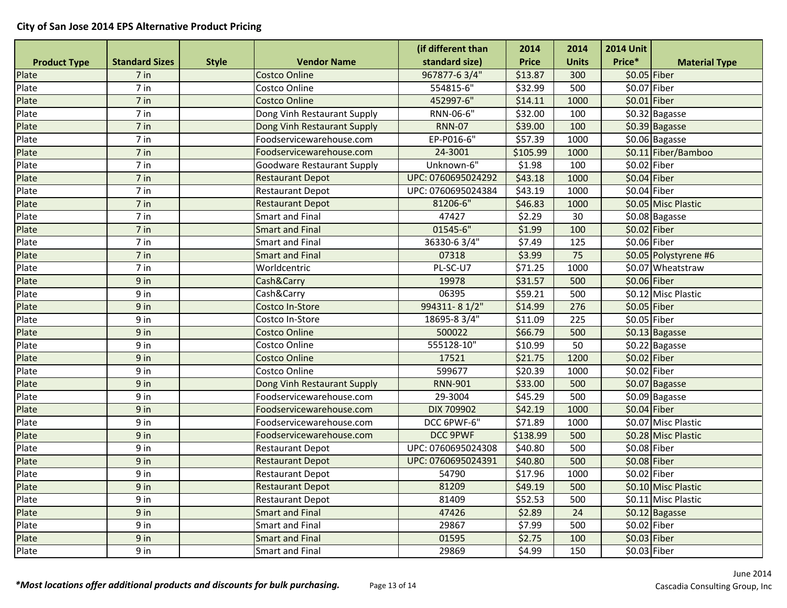|                     |                       |              |                                   | (if different than | 2014         | 2014         | <b>2014 Unit</b> |                       |
|---------------------|-----------------------|--------------|-----------------------------------|--------------------|--------------|--------------|------------------|-----------------------|
| <b>Product Type</b> | <b>Standard Sizes</b> | <b>Style</b> | <b>Vendor Name</b>                | standard size)     | <b>Price</b> | <b>Units</b> | Price*           | <b>Material Type</b>  |
| Plate               | 7 in                  |              | <b>Costco Online</b>              | 967877-63/4"       | \$13.87      | 300          | \$0.05 Fiber     |                       |
| Plate               | 7 in                  |              | Costco Online                     | 554815-6"          | \$32.99      | 500          | \$0.07 Fiber     |                       |
| Plate               | 7 in                  |              | <b>Costco Online</b>              | 452997-6"          | \$14.11      | 1000         | \$0.01 Fiber     |                       |
| Plate               | 7 in                  |              | Dong Vinh Restaurant Supply       | RNN-06-6"          | \$32.00      | 100          |                  | \$0.32 Bagasse        |
| Plate               | 7 in                  |              | Dong Vinh Restaurant Supply       | <b>RNN-07</b>      | \$39.00      | 100          |                  | \$0.39 Bagasse        |
| Plate               | $7$ in                |              | Foodservicewarehouse.com          | EP-P016-6"         | \$57.39      | 1000         |                  | \$0.06 Bagasse        |
| Plate               | 7 in                  |              | Foodservicewarehouse.com          | 24-3001            | \$105.99     | 1000         |                  | \$0.11 Fiber/Bamboo   |
| Plate               | $7$ in                |              | <b>Goodware Restaurant Supply</b> | Unknown-6"         | \$1.98       | 100          | $$0.02$ Fiber    |                       |
| Plate               | 7 in                  |              | <b>Restaurant Depot</b>           | UPC: 0760695024292 | \$43.18      | 1000         | $$0.04$ Fiber    |                       |
| Plate               | 7 in                  |              | <b>Restaurant Depot</b>           | UPC: 0760695024384 | \$43.19      | 1000         | $$0.04$ Fiber    |                       |
| Plate               | 7 in                  |              | <b>Restaurant Depot</b>           | 81206-6"           | \$46.83      | 1000         |                  | \$0.05 Misc Plastic   |
| Plate               | 7 in                  |              | <b>Smart and Final</b>            | 47427              | \$2.29       | 30           |                  | \$0.08 Bagasse        |
| Plate               | 7 in                  |              | <b>Smart and Final</b>            | 01545-6"           | \$1.99       | 100          | $$0.02$ Fiber    |                       |
| Plate               | 7 in                  |              | <b>Smart and Final</b>            | 36330-63/4"        | \$7.49       | 125          | \$0.06 Fiber     |                       |
| Plate               | 7 in                  |              | <b>Smart and Final</b>            | 07318              | \$3.99       | 75           |                  | \$0.05 Polystyrene #6 |
| Plate               | 7 in                  |              | Worldcentric                      | PL-SC-U7           | \$71.25      | 1000         |                  | \$0.07 Wheatstraw     |
| Plate               | 9 in                  |              | Cash&Carry                        | 19978              | \$31.57      | 500          | $$0.06$ Fiber    |                       |
| Plate               | 9 in                  |              | Cash&Carry                        | 06395              | \$59.21      | 500          |                  | \$0.12 Misc Plastic   |
| Plate               | 9 in                  |              | Costco In-Store                   | 994311-81/2"       | \$14.99      | 276          | $$0.05$ Fiber    |                       |
| Plate               | 9 in                  |              | Costco In-Store                   | 18695-8 3/4"       | \$11.09      | 225          | \$0.05 Fiber     |                       |
| Plate               | 9 in                  |              | <b>Costco Online</b>              | 500022             | \$66.79      | 500          |                  | \$0.13 Bagasse        |
| Plate               | 9 in                  |              | Costco Online                     | 555128-10"         | \$10.99      | 50           |                  | \$0.22 Bagasse        |
| Plate               | 9 in                  |              | <b>Costco Online</b>              | 17521              | \$21.75      | 1200         | \$0.02 Fiber     |                       |
| Plate               | 9 in                  |              | Costco Online                     | 599677             | \$20.39      | 1000         | \$0.02 Fiber     |                       |
| Plate               | $9$ in                |              | Dong Vinh Restaurant Supply       | <b>RNN-901</b>     | \$33.00      | 500          |                  | \$0.07 Bagasse        |
| Plate               | 9 in                  |              | Foodservicewarehouse.com          | 29-3004            | \$45.29      | 500          |                  | \$0.09 Bagasse        |
| Plate               | 9 in                  |              | Foodservicewarehouse.com          | <b>DIX 709902</b>  | \$42.19      | 1000         | $$0.04$ Fiber    |                       |
| Plate               | 9 in                  |              | Foodservicewarehouse.com          | DCC 6PWF-6"        | \$71.89      | 1000         |                  | \$0.07 Misc Plastic   |
| Plate               | 9 in                  |              | Foodservicewarehouse.com          | DCC 9PWF           | \$138.99     | 500          |                  | \$0.28 Misc Plastic   |
| Plate               | 9 in                  |              | <b>Restaurant Depot</b>           | UPC: 0760695024308 | \$40.80      | 500          | $$0.08$ Fiber    |                       |
| Plate               | 9 in                  |              | <b>Restaurant Depot</b>           | UPC: 0760695024391 | \$40.80      | 500          | $$0.08$ Fiber    |                       |
| Plate               | 9 in                  |              | <b>Restaurant Depot</b>           | 54790              | \$17.96      | 1000         | \$0.02 Fiber     |                       |
| Plate               | 9 in                  |              | <b>Restaurant Depot</b>           | 81209              | \$49.19      | 500          |                  | \$0.10 Misc Plastic   |
| Plate               | 9 in                  |              | Restaurant Depot                  | 81409              | \$52.53      | 500          |                  | \$0.11 Misc Plastic   |
| Plate               | 9 in                  |              | <b>Smart and Final</b>            | 47426              | \$2.89       | 24           |                  | \$0.12 Bagasse        |
| Plate               | 9 in                  |              | Smart and Final                   | 29867              | \$7.99       | 500          | \$0.02 Fiber     |                       |
| Plate               | 9 in                  |              | <b>Smart and Final</b>            | 01595              | \$2.75       | 100          | \$0.03 Fiber     |                       |
| Plate               | 9 in                  |              | Smart and Final                   | 29869              | \$4.99       | 150          | \$0.03 Fiber     |                       |